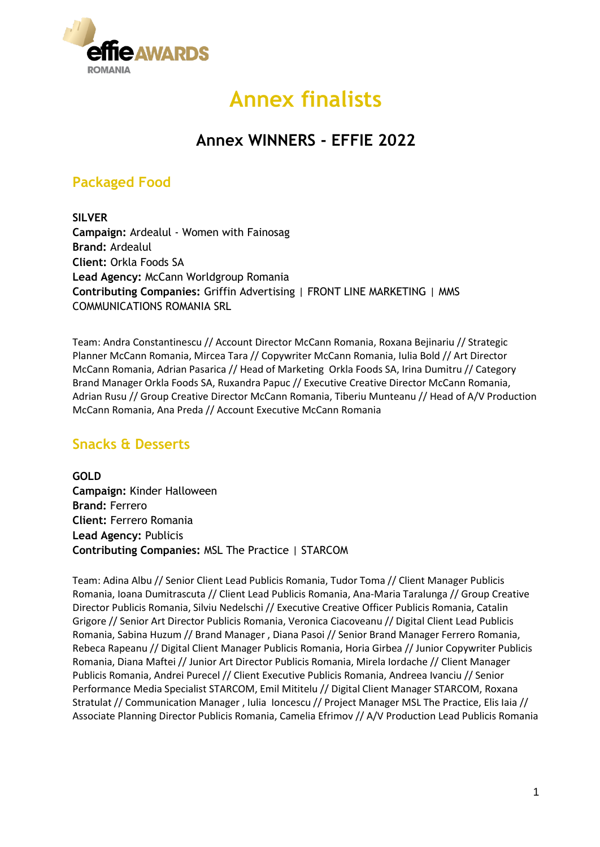

# **Annex finalists**

# **Annex WINNERS - EFFIE 2022**

# **Packaged Food**

**SILVER Campaign:** Ardealul - Women with Fainosag **Brand:** Ardealul **Client:** Orkla Foods SA **Lead Agency:** McCann Worldgroup Romania **Contributing Companies:** Griffin Advertising | FRONT LINE MARKETING | MMS COMMUNICATIONS ROMANIA SRL

Team: Andra Constantinescu // Account Director McCann Romania, Roxana Bejinariu // Strategic Planner McCann Romania, Mircea Tara // Copywriter McCann Romania, Iulia Bold // Art Director McCann Romania, Adrian Pasarica // Head of Marketing Orkla Foods SA, Irina Dumitru // Category Brand Manager Orkla Foods SA, Ruxandra Papuc // Executive Creative Director McCann Romania, Adrian Rusu // Group Creative Director McCann Romania, Tiberiu Munteanu // Head of A/V Production McCann Romania, Ana Preda // Account Executive McCann Romania

### **Snacks & Desserts**

**GOLD Campaign:** Kinder Halloween **Brand:** Ferrero **Client:** Ferrero Romania **Lead Agency:** Publicis **Contributing Companies:** MSL The Practice | STARCOM

Team: Adina Albu // Senior Client Lead Publicis Romania, Tudor Toma // Client Manager Publicis Romania, Ioana Dumitrascuta // Client Lead Publicis Romania, Ana-Maria Taralunga // Group Creative Director Publicis Romania, Silviu Nedelschi // Executive Creative Officer Publicis Romania, Catalin Grigore // Senior Art Director Publicis Romania, Veronica Ciacoveanu // Digital Client Lead Publicis Romania, Sabina Huzum // Brand Manager , Diana Pasoi // Senior Brand Manager Ferrero Romania, Rebeca Rapeanu // Digital Client Manager Publicis Romania, Horia Girbea // Junior Copywriter Publicis Romania, Diana Maftei // Junior Art Director Publicis Romania, Mirela Iordache // Client Manager Publicis Romania, Andrei Purecel // Client Executive Publicis Romania, Andreea Ivanciu // Senior Performance Media Specialist STARCOM, Emil Mititelu // Digital Client Manager STARCOM, Roxana Stratulat // Communication Manager , Iulia Ioncescu // Project Manager MSL The Practice, Elis Iaia // Associate Planning Director Publicis Romania, Camelia Efrimov // A/V Production Lead Publicis Romania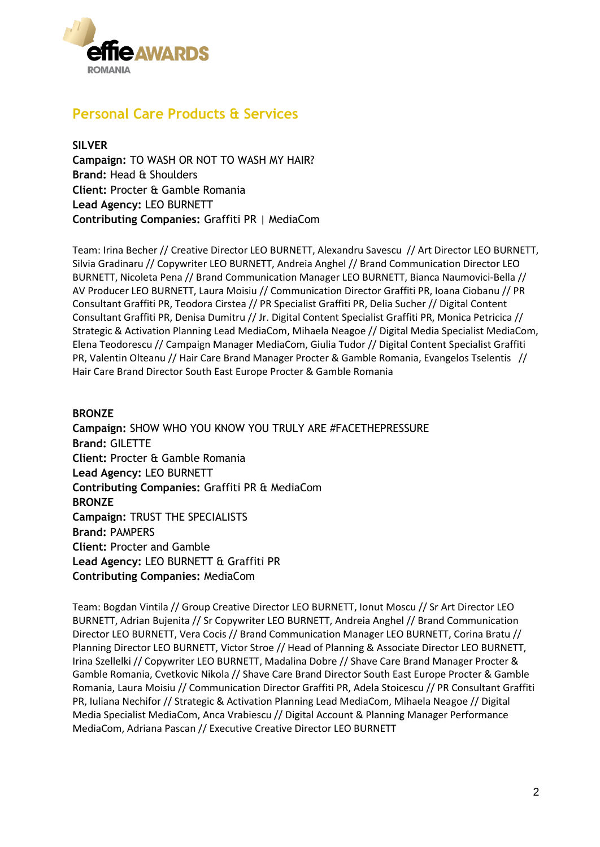

# **Personal Care Products & Services**

**SILVER Campaign:** TO WASH OR NOT TO WASH MY HAIR? **Brand:** Head & Shoulders **Client:** Procter & Gamble Romania **Lead Agency:** LEO BURNETT **Contributing Companies:** Graffiti PR | MediaCom

Team: Irina Becher // Creative Director LEO BURNETT, Alexandru Savescu // Art Director LEO BURNETT, Silvia Gradinaru // Copywriter LEO BURNETT, Andreia Anghel // Brand Communication Director LEO BURNETT, Nicoleta Pena // Brand Communication Manager LEO BURNETT, Bianca Naumovici-Bella // AV Producer LEO BURNETT, Laura Moisiu // Communication Director Graffiti PR, Ioana Ciobanu // PR Consultant Graffiti PR, Teodora Cirstea // PR Specialist Graffiti PR, Delia Sucher // Digital Content Consultant Graffiti PR, Denisa Dumitru // Jr. Digital Content Specialist Graffiti PR, Monica Petricica // Strategic & Activation Planning Lead MediaCom, Mihaela Neagoe // Digital Media Specialist MediaCom, Elena Teodorescu // Campaign Manager MediaCom, Giulia Tudor // Digital Content Specialist Graffiti PR, Valentin Olteanu // Hair Care Brand Manager Procter & Gamble Romania, Evangelos Tselentis // Hair Care Brand Director South East Europe Procter & Gamble Romania

#### **BRONZE**

**Campaign:** SHOW WHO YOU KNOW YOU TRULY ARE #FACETHEPRESSURE **Brand:** GILETTE **Client:** Procter & Gamble Romania **Lead Agency:** LEO BURNETT **Contributing Companies:** Graffiti PR & MediaCom **BRONZE Campaign:** TRUST THE SPECIALISTS **Brand:** PAMPERS **Client:** Procter and Gamble **Lead Agency:** LEO BURNETT & Graffiti PR **Contributing Companies:** MediaCom

Team: Bogdan Vintila // Group Creative Director LEO BURNETT, Ionut Moscu // Sr Art Director LEO BURNETT, Adrian Bujenita // Sr Copywriter LEO BURNETT, Andreia Anghel // Brand Communication Director LEO BURNETT, Vera Cocis // Brand Communication Manager LEO BURNETT, Corina Bratu // Planning Director LEO BURNETT, Victor Stroe // Head of Planning & Associate Director LEO BURNETT, Irina Szellelki // Copywriter LEO BURNETT, Madalina Dobre // Shave Care Brand Manager Procter & Gamble Romania, Cvetkovic Nikola // Shave Care Brand Director South East Europe Procter & Gamble Romania, Laura Moisiu // Communication Director Graffiti PR, Adela Stoicescu // PR Consultant Graffiti PR, Iuliana Nechifor // Strategic & Activation Planning Lead MediaCom, Mihaela Neagoe // Digital Media Specialist MediaCom, Anca Vrabiescu // Digital Account & Planning Manager Performance MediaCom, Adriana Pascan // Executive Creative Director LEO BURNETT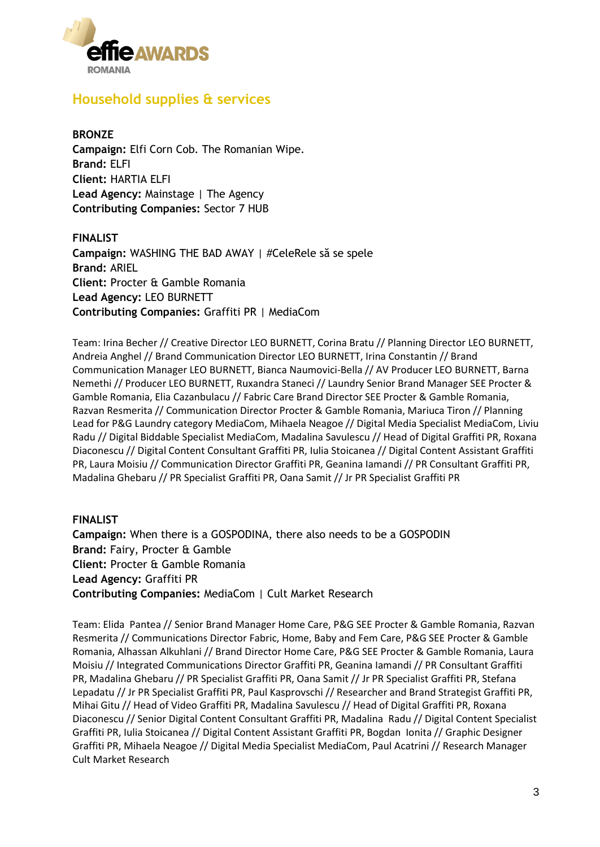

### **Household supplies & services**

#### **BRONZE Campaign:** Elfi Corn Cob. The Romanian Wipe. **Brand:** ELFI **Client:** HARTIA ELFI **Lead Agency:** Mainstage | The Agency **Contributing Companies:** Sector 7 HUB

**FINALIST Campaign:** WASHING THE BAD AWAY | #CeleRele să se spele **Brand:** ARIEL **Client:** Procter & Gamble Romania **Lead Agency:** LEO BURNETT **Contributing Companies:** Graffiti PR | MediaCom

Team: Irina Becher // Creative Director LEO BURNETT, Corina Bratu // Planning Director LEO BURNETT, Andreia Anghel // Brand Communication Director LEO BURNETT, Irina Constantin // Brand Communication Manager LEO BURNETT, Bianca Naumovici-Bella // AV Producer LEO BURNETT, Barna Nemethi // Producer LEO BURNETT, Ruxandra Staneci // Laundry Senior Brand Manager SEE Procter & Gamble Romania, Elia Cazanbulacu // Fabric Care Brand Director SEE Procter & Gamble Romania, Razvan Resmerita // Communication Director Procter & Gamble Romania, Mariuca Tiron // Planning Lead for P&G Laundry category MediaCom, Mihaela Neagoe // Digital Media Specialist MediaCom, Liviu Radu // Digital Biddable Specialist MediaCom, Madalina Savulescu // Head of Digital Graffiti PR, Roxana Diaconescu // Digital Content Consultant Graffiti PR, Iulia Stoicanea // Digital Content Assistant Graffiti PR, Laura Moisiu // Communication Director Graffiti PR, Geanina Iamandi // PR Consultant Graffiti PR, Madalina Ghebaru // PR Specialist Graffiti PR, Oana Samit // Jr PR Specialist Graffiti PR

### **FINALIST Campaign:** When there is a GOSPODINA, there also needs to be a GOSPODIN **Brand:** Fairy, Procter & Gamble **Client:** Procter & Gamble Romania **Lead Agency:** Graffiti PR **Contributing Companies:** MediaCom | Cult Market Research

Team: Elida Pantea // Senior Brand Manager Home Care, P&G SEE Procter & Gamble Romania, Razvan Resmerita // Communications Director Fabric, Home, Baby and Fem Care, P&G SEE Procter & Gamble Romania, Alhassan Alkuhlani // Brand Director Home Care, P&G SEE Procter & Gamble Romania, Laura Moisiu // Integrated Communications Director Graffiti PR, Geanina Iamandi // PR Consultant Graffiti PR, Madalina Ghebaru // PR Specialist Graffiti PR, Oana Samit // Jr PR Specialist Graffiti PR, Stefana Lepadatu // Jr PR Specialist Graffiti PR, Paul Kasprovschi // Researcher and Brand Strategist Graffiti PR, Mihai Gitu // Head of Video Graffiti PR, Madalina Savulescu // Head of Digital Graffiti PR, Roxana Diaconescu // Senior Digital Content Consultant Graffiti PR, Madalina Radu // Digital Content Specialist Graffiti PR, Iulia Stoicanea // Digital Content Assistant Graffiti PR, Bogdan Ionita // Graphic Designer Graffiti PR, Mihaela Neagoe // Digital Media Specialist MediaCom, Paul Acatrini // Research Manager Cult Market Research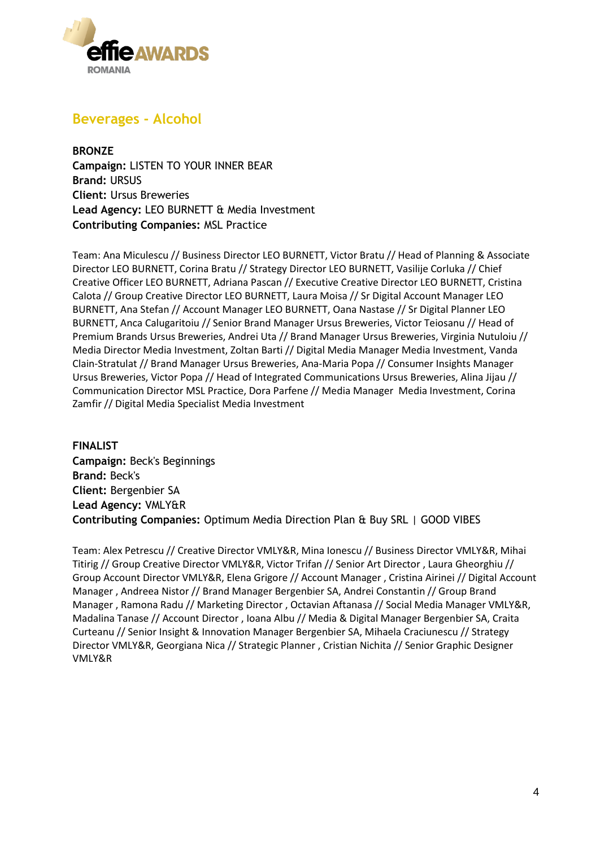

### **Beverages - Alcohol**

**BRONZE Campaign:** LISTEN TO YOUR INNER BEAR **Brand:** URSUS **Client:** Ursus Breweries **Lead Agency:** LEO BURNETT & Media Investment **Contributing Companies:** MSL Practice

Team: Ana Miculescu // Business Director LEO BURNETT, Victor Bratu // Head of Planning & Associate Director LEO BURNETT, Corina Bratu // Strategy Director LEO BURNETT, Vasilije Corluka // Chief Creative Officer LEO BURNETT, Adriana Pascan // Executive Creative Director LEO BURNETT, Cristina Calota // Group Creative Director LEO BURNETT, Laura Moisa // Sr Digital Account Manager LEO BURNETT, Ana Stefan // Account Manager LEO BURNETT, Oana Nastase // Sr Digital Planner LEO BURNETT, Anca Calugaritoiu // Senior Brand Manager Ursus Breweries, Victor Teiosanu // Head of Premium Brands Ursus Breweries, Andrei Uta // Brand Manager Ursus Breweries, Virginia Nutuloiu // Media Director Media Investment, Zoltan Barti // Digital Media Manager Media Investment, Vanda Clain-Stratulat // Brand Manager Ursus Breweries, Ana-Maria Popa // Consumer Insights Manager Ursus Breweries, Victor Popa // Head of Integrated Communications Ursus Breweries, Alina Jijau // Communication Director MSL Practice, Dora Parfene // Media Manager Media Investment, Corina Zamfir // Digital Media Specialist Media Investment

**FINALIST Campaign:** Beck's Beginnings **Brand:** Beck's **Client:** Bergenbier SA **Lead Agency:** VMLY&R **Contributing Companies:** Optimum Media Direction Plan & Buy SRL | GOOD VIBES

Team: Alex Petrescu // Creative Director VMLY&R, Mina Ionescu // Business Director VMLY&R, Mihai Titirig // Group Creative Director VMLY&R, Victor Trifan // Senior Art Director , Laura Gheorghiu // Group Account Director VMLY&R, Elena Grigore // Account Manager , Cristina Airinei // Digital Account Manager , Andreea Nistor // Brand Manager Bergenbier SA, Andrei Constantin // Group Brand Manager , Ramona Radu // Marketing Director , Octavian Aftanasa // Social Media Manager VMLY&R, Madalina Tanase // Account Director , Ioana Albu // Media & Digital Manager Bergenbier SA, Craita Curteanu // Senior Insight & Innovation Manager Bergenbier SA, Mihaela Craciunescu // Strategy Director VMLY&R, Georgiana Nica // Strategic Planner , Cristian Nichita // Senior Graphic Designer VMLY&R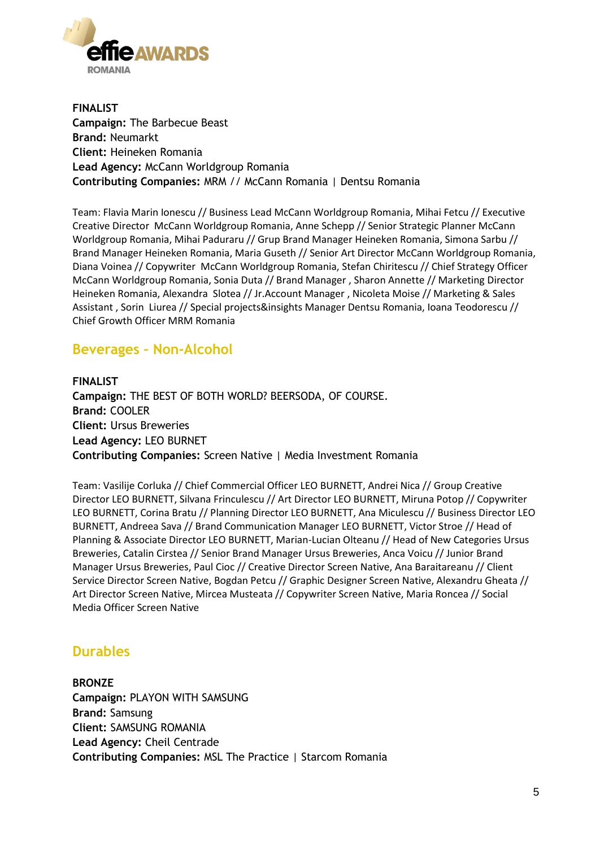

**FINALIST Campaign:** The Barbecue Beast **Brand:** Neumarkt **Client:** Heineken Romania **Lead Agency:** McCann Worldgroup Romania **Contributing Companies:** MRM // McCann Romania | Dentsu Romania

Team: Flavia Marin Ionescu // Business Lead McCann Worldgroup Romania, Mihai Fetcu // Executive Creative Director McCann Worldgroup Romania, Anne Schepp // Senior Strategic Planner McCann Worldgroup Romania, Mihai Paduraru // Grup Brand Manager Heineken Romania, Simona Sarbu // Brand Manager Heineken Romania, Maria Guseth // Senior Art Director McCann Worldgroup Romania, Diana Voinea // Copywriter McCann Worldgroup Romania, Stefan Chiritescu // Chief Strategy Officer McCann Worldgroup Romania, Sonia Duta // Brand Manager , Sharon Annette // Marketing Director Heineken Romania, Alexandra Slotea // Jr.Account Manager , Nicoleta Moise // Marketing & Sales Assistant , Sorin Liurea // Special projects&insights Manager Dentsu Romania, Ioana Teodorescu // Chief Growth Officer MRM Romania

### **Beverages – Non-Alcohol**

**FINALIST Campaign:** THE BEST OF BOTH WORLD? BEERSODA, OF COURSE. **Brand:** COOLER **Client:** Ursus Breweries **Lead Agency:** LEO BURNET **Contributing Companies:** Screen Native | Media Investment Romania

Team: Vasilije Corluka // Chief Commercial Officer LEO BURNETT, Andrei Nica // Group Creative Director LEO BURNETT, Silvana Frinculescu // Art Director LEO BURNETT, Miruna Potop // Copywriter LEO BURNETT, Corina Bratu // Planning Director LEO BURNETT, Ana Miculescu // Business Director LEO BURNETT, Andreea Sava // Brand Communication Manager LEO BURNETT, Victor Stroe // Head of Planning & Associate Director LEO BURNETT, Marian-Lucian Olteanu // Head of New Categories Ursus Breweries, Catalin Cirstea // Senior Brand Manager Ursus Breweries, Anca Voicu // Junior Brand Manager Ursus Breweries, Paul Cioc // Creative Director Screen Native, Ana Baraitareanu // Client Service Director Screen Native, Bogdan Petcu // Graphic Designer Screen Native, Alexandru Gheata // Art Director Screen Native, Mircea Musteata // Copywriter Screen Native, Maria Roncea // Social Media Officer Screen Native

### **Durables**

**BRONZE Campaign:** PLAYON WITH SAMSUNG **Brand:** Samsung **Client:** SAMSUNG ROMANIA **Lead Agency:** Cheil Centrade **Contributing Companies:** MSL The Practice | Starcom Romania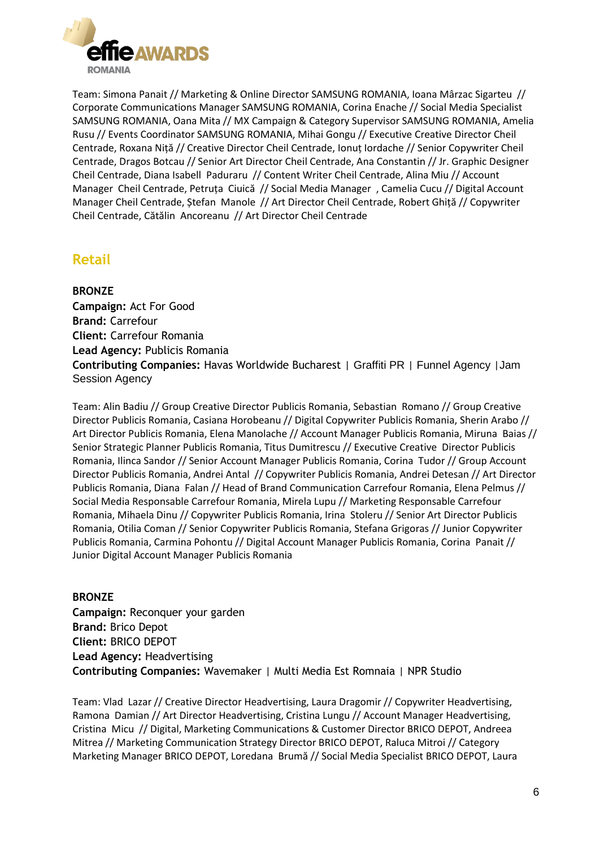

Team: Simona Panait // Marketing & Online Director SAMSUNG ROMANIA, Ioana Mârzac Sigarteu // Corporate Communications Manager SAMSUNG ROMANIA, Corina Enache // Social Media Specialist SAMSUNG ROMANIA, Oana Mita // MX Campaign & Category Supervisor SAMSUNG ROMANIA, Amelia Rusu // Events Coordinator SAMSUNG ROMANIA, Mihai Gongu // Executive Creative Director Cheil Centrade, Roxana Niță // Creative Director Cheil Centrade, Ionuț Iordache // Senior Copywriter Cheil Centrade, Dragos Botcau // Senior Art Director Cheil Centrade, Ana Constantin // Jr. Graphic Designer Cheil Centrade, Diana Isabell Paduraru // Content Writer Cheil Centrade, Alina Miu // Account Manager Cheil Centrade, Petruța Ciuică // Social Media Manager , Camelia Cucu // Digital Account Manager Cheil Centrade, Ștefan Manole // Art Director Cheil Centrade, Robert Ghiță // Copywriter Cheil Centrade, Cătălin Ancoreanu // Art Director Cheil Centrade

### **Retail**

**BRONZE Campaign:** Act For Good **Brand:** Carrefour **Client:** Carrefour Romania **Lead Agency:** Publicis Romania **Contributing Companies:** Havas Worldwide Bucharest | Graffiti PR | Funnel Agency |Jam Session Agency

Team: Alin Badiu // Group Creative Director Publicis Romania, Sebastian Romano // Group Creative Director Publicis Romania, Casiana Horobeanu // Digital Copywriter Publicis Romania, Sherin Arabo // Art Director Publicis Romania, Elena Manolache // Account Manager Publicis Romania, Miruna Baias // Senior Strategic Planner Publicis Romania, Titus Dumitrescu // Executive Creative Director Publicis Romania, Ilinca Sandor // Senior Account Manager Publicis Romania, Corina Tudor // Group Account Director Publicis Romania, Andrei Antal // Copywriter Publicis Romania, Andrei Detesan // Art Director Publicis Romania, Diana Falan // Head of Brand Communication Carrefour Romania, Elena Pelmus // Social Media Responsable Carrefour Romania, Mirela Lupu // Marketing Responsable Carrefour Romania, Mihaela Dinu // Copywriter Publicis Romania, Irina Stoleru // Senior Art Director Publicis Romania, Otilia Coman // Senior Copywriter Publicis Romania, Stefana Grigoras // Junior Copywriter Publicis Romania, Carmina Pohontu // Digital Account Manager Publicis Romania, Corina Panait // Junior Digital Account Manager Publicis Romania

#### **BRONZE**

**Campaign:** Reconquer your garden **Brand:** Brico Depot **Client:** BRICO DEPOT **Lead Agency:** Headvertising **Contributing Companies:** Wavemaker | Multi Media Est Romnaia | NPR Studio

Team: Vlad Lazar // Creative Director Headvertising, Laura Dragomir // Copywriter Headvertising, Ramona Damian // Art Director Headvertising, Cristina Lungu // Account Manager Headvertising, Cristina Micu // Digital, Marketing Communications & Customer Director BRICO DEPOT, Andreea Mitrea // Marketing Communication Strategy Director BRICO DEPOT, Raluca Mitroi // Category Marketing Manager BRICO DEPOT, Loredana Brumă // Social Media Specialist BRICO DEPOT, Laura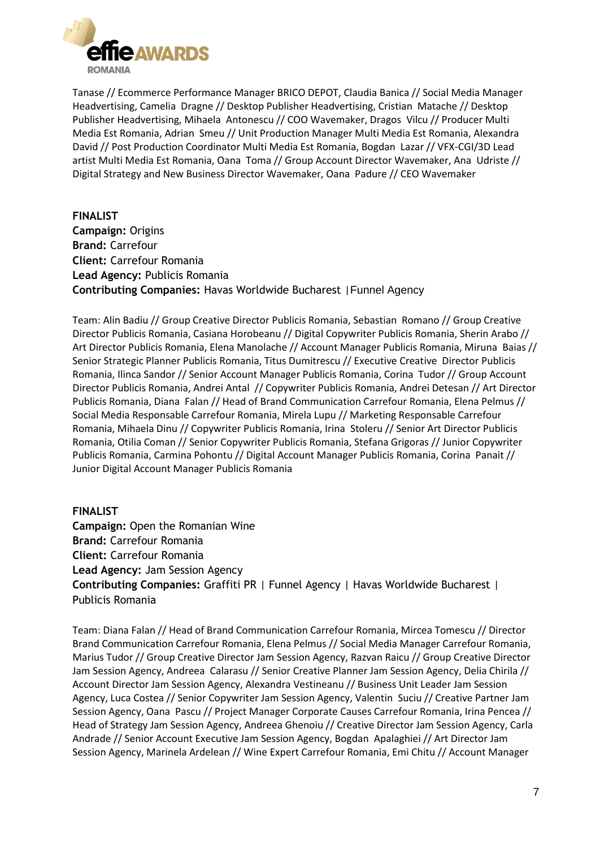

Tanase // Ecommerce Performance Manager BRICO DEPOT, Claudia Banica // Social Media Manager Headvertising, Camelia Dragne // Desktop Publisher Headvertising, Cristian Matache // Desktop Publisher Headvertising, Mihaela Antonescu // COO Wavemaker, Dragos Vilcu // Producer Multi Media Est Romania, Adrian Smeu // Unit Production Manager Multi Media Est Romania, Alexandra David // Post Production Coordinator Multi Media Est Romania, Bogdan Lazar // VFX-CGI/3D Lead artist Multi Media Est Romania, Oana Toma // Group Account Director Wavemaker, Ana Udriste // Digital Strategy and New Business Director Wavemaker, Oana Padure // CEO Wavemaker

**FINALIST Campaign:** Origins **Brand:** Carrefour **Client:** Carrefour Romania **Lead Agency:** Publicis Romania **Contributing Companies:** Havas Worldwide Bucharest |Funnel Agency

Team: Alin Badiu // Group Creative Director Publicis Romania, Sebastian Romano // Group Creative Director Publicis Romania, Casiana Horobeanu // Digital Copywriter Publicis Romania, Sherin Arabo // Art Director Publicis Romania, Elena Manolache // Account Manager Publicis Romania, Miruna Baias // Senior Strategic Planner Publicis Romania, Titus Dumitrescu // Executive Creative Director Publicis Romania, Ilinca Sandor // Senior Account Manager Publicis Romania, Corina Tudor // Group Account Director Publicis Romania, Andrei Antal // Copywriter Publicis Romania, Andrei Detesan // Art Director Publicis Romania, Diana Falan // Head of Brand Communication Carrefour Romania, Elena Pelmus // Social Media Responsable Carrefour Romania, Mirela Lupu // Marketing Responsable Carrefour Romania, Mihaela Dinu // Copywriter Publicis Romania, Irina Stoleru // Senior Art Director Publicis Romania, Otilia Coman // Senior Copywriter Publicis Romania, Stefana Grigoras // Junior Copywriter Publicis Romania, Carmina Pohontu // Digital Account Manager Publicis Romania, Corina Panait // Junior Digital Account Manager Publicis Romania

#### **FINALIST**

**Campaign:** Open the Romanian Wine **Brand:** Carrefour Romania **Client:** Carrefour Romania **Lead Agency:** Jam Session Agency **Contributing Companies:** Graffiti PR | Funnel Agency | Havas Worldwide Bucharest | Publicis Romania

Team: Diana Falan // Head of Brand Communication Carrefour Romania, Mircea Tomescu // Director Brand Communication Carrefour Romania, Elena Pelmus // Social Media Manager Carrefour Romania, Marius Tudor // Group Creative Director Jam Session Agency, Razvan Raicu // Group Creative Director Jam Session Agency, Andreea Calarasu // Senior Creative Planner Jam Session Agency, Delia Chirila // Account Director Jam Session Agency, Alexandra Vestineanu // Business Unit Leader Jam Session Agency, Luca Costea // Senior Copywriter Jam Session Agency, Valentin Suciu // Creative Partner Jam Session Agency, Oana Pascu // Project Manager Corporate Causes Carrefour Romania, Irina Pencea // Head of Strategy Jam Session Agency, Andreea Ghenoiu // Creative Director Jam Session Agency, Carla Andrade // Senior Account Executive Jam Session Agency, Bogdan Apalaghiei // Art Director Jam Session Agency, Marinela Ardelean // Wine Expert Carrefour Romania, Emi Chitu // Account Manager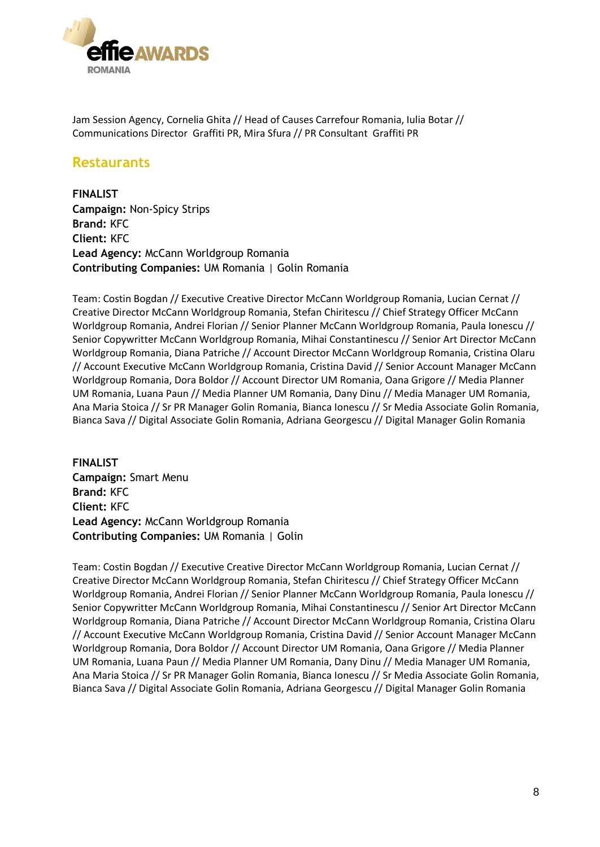

Jam Session Agency, Cornelia Ghita // Head of Causes Carrefour Romania, Iulia Botar // Communications Director Graffiti PR, Mira Sfura // PR Consultant Graffiti PR

### **Restaurants**

**FINALIST Campaign:** Non-Spicy Strips **Brand:** KFC **Client:** KFC **Lead Agency:** McCann Worldgroup Romania **Contributing Companies:** UM Romania | Golin Romania

Team: Costin Bogdan // Executive Creative Director McCann Worldgroup Romania, Lucian Cernat // Creative Director McCann Worldgroup Romania, Stefan Chiritescu // Chief Strategy Officer McCann Worldgroup Romania, Andrei Florian // Senior Planner McCann Worldgroup Romania, Paula Ionescu // Senior Copywritter McCann Worldgroup Romania, Mihai Constantinescu // Senior Art Director McCann Worldgroup Romania, Diana Patriche // Account Director McCann Worldgroup Romania, Cristina Olaru // Account Executive McCann Worldgroup Romania, Cristina David // Senior Account Manager McCann Worldgroup Romania, Dora Boldor // Account Director UM Romania, Oana Grigore // Media Planner UM Romania, Luana Paun // Media Planner UM Romania, Dany Dinu // Media Manager UM Romania, Ana Maria Stoica // Sr PR Manager Golin Romania, Bianca Ionescu // Sr Media Associate Golin Romania, Bianca Sava // Digital Associate Golin Romania, Adriana Georgescu // Digital Manager Golin Romania

**FINALIST Campaign:** Smart Menu **Brand:** KFC **Client:** KFC **Lead Agency:** McCann Worldgroup Romania **Contributing Companies:** UM Romania | Golin

Team: Costin Bogdan // Executive Creative Director McCann Worldgroup Romania, Lucian Cernat // Creative Director McCann Worldgroup Romania, Stefan Chiritescu // Chief Strategy Officer McCann Worldgroup Romania, Andrei Florian // Senior Planner McCann Worldgroup Romania, Paula Ionescu // Senior Copywritter McCann Worldgroup Romania, Mihai Constantinescu // Senior Art Director McCann Worldgroup Romania, Diana Patriche // Account Director McCann Worldgroup Romania, Cristina Olaru // Account Executive McCann Worldgroup Romania, Cristina David // Senior Account Manager McCann Worldgroup Romania, Dora Boldor // Account Director UM Romania, Oana Grigore // Media Planner UM Romania, Luana Paun // Media Planner UM Romania, Dany Dinu // Media Manager UM Romania, Ana Maria Stoica // Sr PR Manager Golin Romania, Bianca Ionescu // Sr Media Associate Golin Romania, Bianca Sava // Digital Associate Golin Romania, Adriana Georgescu // Digital Manager Golin Romania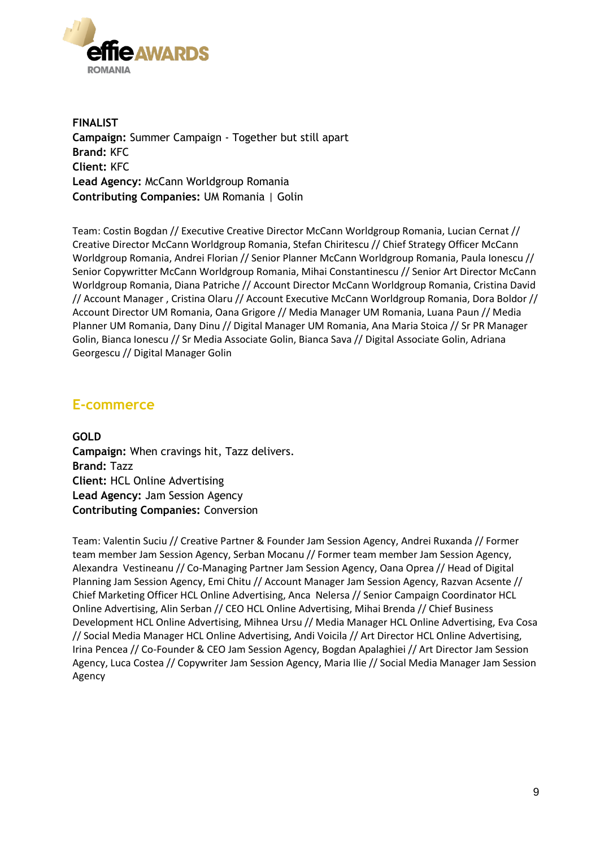

**FINALIST Campaign:** Summer Campaign - Together but still apart **Brand:** KFC **Client:** KFC **Lead Agency:** McCann Worldgroup Romania **Contributing Companies:** UM Romania | Golin

Team: Costin Bogdan // Executive Creative Director McCann Worldgroup Romania, Lucian Cernat // Creative Director McCann Worldgroup Romania, Stefan Chiritescu // Chief Strategy Officer McCann Worldgroup Romania, Andrei Florian // Senior Planner McCann Worldgroup Romania, Paula Ionescu // Senior Copywritter McCann Worldgroup Romania, Mihai Constantinescu // Senior Art Director McCann Worldgroup Romania, Diana Patriche // Account Director McCann Worldgroup Romania, Cristina David // Account Manager , Cristina Olaru // Account Executive McCann Worldgroup Romania, Dora Boldor // Account Director UM Romania, Oana Grigore // Media Manager UM Romania, Luana Paun // Media Planner UM Romania, Dany Dinu // Digital Manager UM Romania, Ana Maria Stoica // Sr PR Manager Golin, Bianca Ionescu // Sr Media Associate Golin, Bianca Sava // Digital Associate Golin, Adriana Georgescu // Digital Manager Golin

### **E-commerce**

**GOLD Campaign:** When cravings hit, Tazz delivers. **Brand:** Tazz **Client:** HCL Online Advertising **Lead Agency:** Jam Session Agency **Contributing Companies:** Conversion

Team: Valentin Suciu // Creative Partner & Founder Jam Session Agency, Andrei Ruxanda // Former team member Jam Session Agency, Serban Mocanu // Former team member Jam Session Agency, Alexandra Vestineanu // Co-Managing Partner Jam Session Agency, Oana Oprea // Head of Digital Planning Jam Session Agency, Emi Chitu // Account Manager Jam Session Agency, Razvan Acsente // Chief Marketing Officer HCL Online Advertising, Anca Nelersa // Senior Campaign Coordinator HCL Online Advertising, Alin Serban // CEO HCL Online Advertising, Mihai Brenda // Chief Business Development HCL Online Advertising, Mihnea Ursu // Media Manager HCL Online Advertising, Eva Cosa // Social Media Manager HCL Online Advertising, Andi Voicila // Art Director HCL Online Advertising, Irina Pencea // Co-Founder & CEO Jam Session Agency, Bogdan Apalaghiei // Art Director Jam Session Agency, Luca Costea // Copywriter Jam Session Agency, Maria Ilie // Social Media Manager Jam Session Agency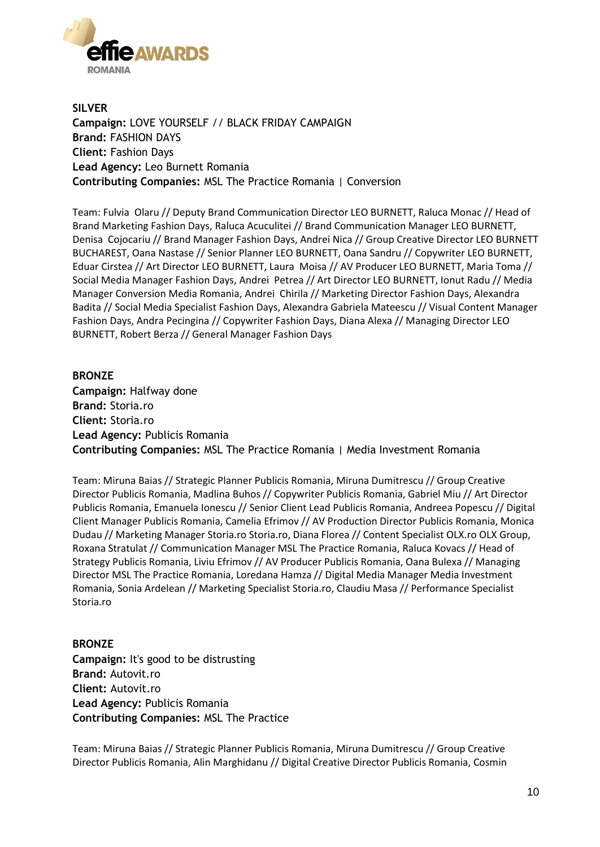

**SILVER Campaign:** LOVE YOURSELF // BLACK FRIDAY CAMPAIGN **Brand:** FASHION DAYS **Client:** Fashion Days **Lead Agency:** Leo Burnett Romania **Contributing Companies:** MSL The Practice Romania | Conversion

Team: Fulvia Olaru // Deputy Brand Communication Director LEO BURNETT, Raluca Monac // Head of Brand Marketing Fashion Days, Raluca Acuculitei // Brand Communication Manager LEO BURNETT, Denisa Cojocariu // Brand Manager Fashion Days, Andrei Nica // Group Creative Director LEO BURNETT BUCHAREST, Oana Nastase // Senior Planner LEO BURNETT, Oana Sandru // Copywriter LEO BURNETT, Eduar Cirstea // Art Director LEO BURNETT, Laura Moisa // AV Producer LEO BURNETT, Maria Toma // Social Media Manager Fashion Days, Andrei Petrea // Art Director LEO BURNETT, Ionut Radu // Media Manager Conversion Media Romania, Andrei Chirila // Marketing Director Fashion Days, Alexandra Badita // Social Media Specialist Fashion Days, Alexandra Gabriela Mateescu // Visual Content Manager Fashion Days, Andra Pecingina // Copywriter Fashion Days, Diana Alexa // Managing Director LEO BURNETT, Robert Berza // General Manager Fashion Days

**BRONZE Campaign:** Halfway done **Brand:** Storia.ro **Client:** Storia.ro **Lead Agency:** Publicis Romania **Contributing Companies:** MSL The Practice Romania | Media Investment Romania

Team: Miruna Baias // Strategic Planner Publicis Romania, Miruna Dumitrescu // Group Creative Director Publicis Romania, Madlina Buhos // Copywriter Publicis Romania, Gabriel Miu // Art Director Publicis Romania, Emanuela Ionescu // Senior Client Lead Publicis Romania, Andreea Popescu // Digital Client Manager Publicis Romania, Camelia Efrimov // AV Production Director Publicis Romania, Monica Dudau // Marketing Manager Storia.ro Storia.ro, Diana Florea // Content Specialist OLX.ro OLX Group, Roxana Stratulat // Communication Manager MSL The Practice Romania, Raluca Kovacs // Head of Strategy Publicis Romania, Liviu Efrimov // AV Producer Publicis Romania, Oana Bulexa // Managing Director MSL The Practice Romania, Loredana Hamza // Digital Media Manager Media Investment Romania, Sonia Ardelean // Marketing Specialist Storia.ro, Claudiu Masa // Performance Specialist Storia.ro

**BRONZE Campaign:** It's good to be distrusting **Brand:** Autovit.ro **Client:** Autovit.ro **Lead Agency:** Publicis Romania **Contributing Companies:** MSL The Practice

Team: Miruna Baias // Strategic Planner Publicis Romania, Miruna Dumitrescu // Group Creative Director Publicis Romania, Alin Marghidanu // Digital Creative Director Publicis Romania, Cosmin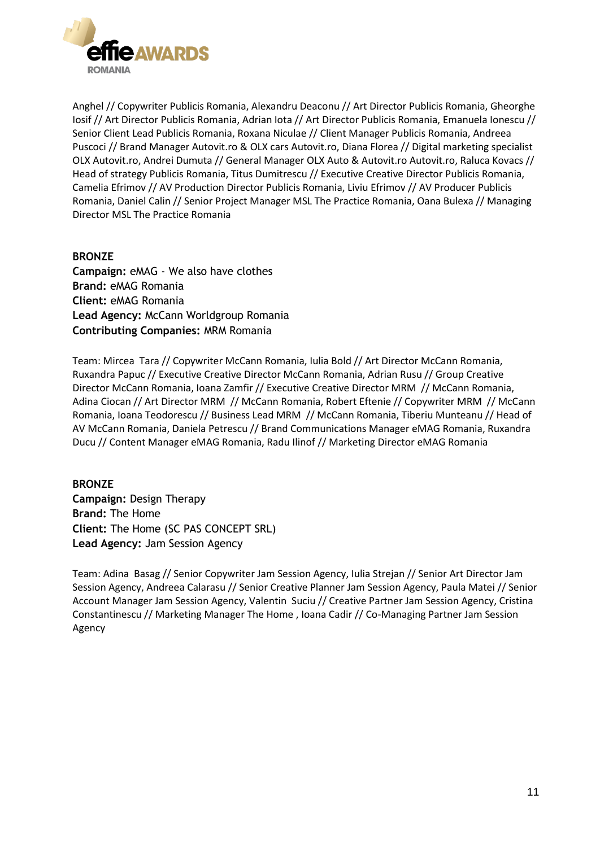

Anghel // Copywriter Publicis Romania, Alexandru Deaconu // Art Director Publicis Romania, Gheorghe Iosif // Art Director Publicis Romania, Adrian Iota // Art Director Publicis Romania, Emanuela Ionescu // Senior Client Lead Publicis Romania, Roxana Niculae // Client Manager Publicis Romania, Andreea Puscoci // Brand Manager Autovit.ro & OLX cars Autovit.ro, Diana Florea // Digital marketing specialist OLX Autovit.ro, Andrei Dumuta // General Manager OLX Auto & Autovit.ro Autovit.ro, Raluca Kovacs // Head of strategy Publicis Romania, Titus Dumitrescu // Executive Creative Director Publicis Romania, Camelia Efrimov // AV Production Director Publicis Romania, Liviu Efrimov // AV Producer Publicis Romania, Daniel Calin // Senior Project Manager MSL The Practice Romania, Oana Bulexa // Managing Director MSL The Practice Romania

#### **BRONZE**

**Campaign:** eMAG - We also have clothes **Brand:** eMAG Romania **Client:** eMAG Romania **Lead Agency:** McCann Worldgroup Romania **Contributing Companies:** MRM Romania

Team: Mircea Tara // Copywriter McCann Romania, Iulia Bold // Art Director McCann Romania, Ruxandra Papuc // Executive Creative Director McCann Romania, Adrian Rusu // Group Creative Director McCann Romania, Ioana Zamfir // Executive Creative Director MRM // McCann Romania, Adina Ciocan // Art Director MRM // McCann Romania, Robert Eftenie // Copywriter MRM // McCann Romania, Ioana Teodorescu // Business Lead MRM // McCann Romania, Tiberiu Munteanu // Head of AV McCann Romania, Daniela Petrescu // Brand Communications Manager eMAG Romania, Ruxandra Ducu // Content Manager eMAG Romania, Radu Ilinof // Marketing Director eMAG Romania

#### **BRONZE**

**Campaign:** Design Therapy **Brand:** The Home **Client:** The Home (SC PAS CONCEPT SRL) **Lead Agency:** Jam Session Agency

Team: Adina Basag // Senior Copywriter Jam Session Agency, Iulia Strejan // Senior Art Director Jam Session Agency, Andreea Calarasu // Senior Creative Planner Jam Session Agency, Paula Matei // Senior Account Manager Jam Session Agency, Valentin Suciu // Creative Partner Jam Session Agency, Cristina Constantinescu // Marketing Manager The Home , Ioana Cadir // Co-Managing Partner Jam Session Agency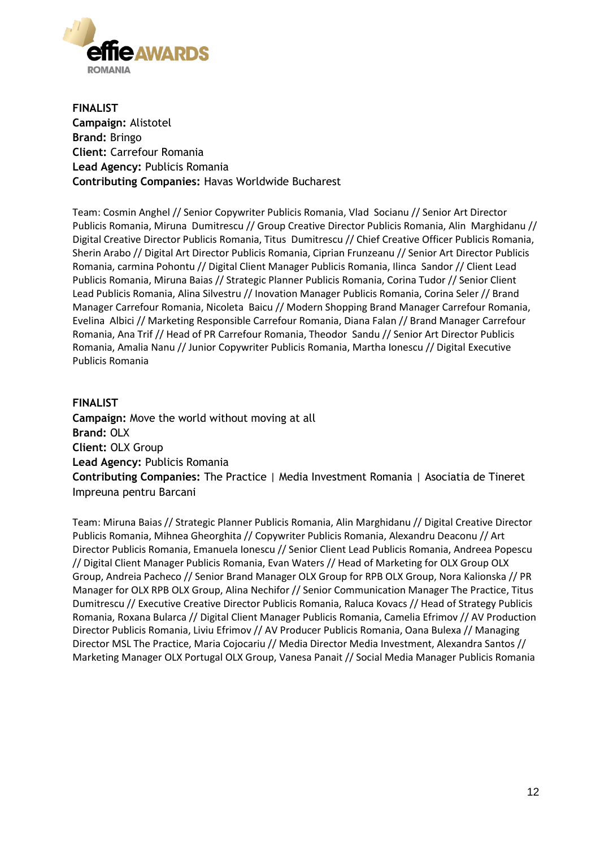

**FINALIST Campaign:** Alistotel **Brand:** Bringo **Client:** Carrefour Romania **Lead Agency:** Publicis Romania **Contributing Companies:** Havas Worldwide Bucharest

Team: Cosmin Anghel // Senior Copywriter Publicis Romania, Vlad Socianu // Senior Art Director Publicis Romania, Miruna Dumitrescu // Group Creative Director Publicis Romania, Alin Marghidanu // Digital Creative Director Publicis Romania, Titus Dumitrescu // Chief Creative Officer Publicis Romania, Sherin Arabo // Digital Art Director Publicis Romania, Ciprian Frunzeanu // Senior Art Director Publicis Romania, carmina Pohontu // Digital Client Manager Publicis Romania, Ilinca Sandor // Client Lead Publicis Romania, Miruna Baias // Strategic Planner Publicis Romania, Corina Tudor // Senior Client Lead Publicis Romania, Alina Silvestru // Inovation Manager Publicis Romania, Corina Seler // Brand Manager Carrefour Romania, Nicoleta Baicu // Modern Shopping Brand Manager Carrefour Romania, Evelina Albici // Marketing Responsible Carrefour Romania, Diana Falan // Brand Manager Carrefour Romania, Ana Trif // Head of PR Carrefour Romania, Theodor Sandu // Senior Art Director Publicis Romania, Amalia Nanu // Junior Copywriter Publicis Romania, Martha Ionescu // Digital Executive Publicis Romania

#### **FINALIST**

**Campaign:** Move the world without moving at all **Brand:** OLX **Client:** OLX Group **Lead Agency:** Publicis Romania **Contributing Companies:** The Practice | Media Investment Romania | Asociatia de Tineret Impreuna pentru Barcani

Team: Miruna Baias // Strategic Planner Publicis Romania, Alin Marghidanu // Digital Creative Director Publicis Romania, Mihnea Gheorghita // Copywriter Publicis Romania, Alexandru Deaconu // Art Director Publicis Romania, Emanuela Ionescu // Senior Client Lead Publicis Romania, Andreea Popescu // Digital Client Manager Publicis Romania, Evan Waters // Head of Marketing for OLX Group OLX Group, Andreia Pacheco // Senior Brand Manager OLX Group for RPB OLX Group, Nora Kalionska // PR Manager for OLX RPB OLX Group, Alina Nechifor // Senior Communication Manager The Practice, Titus Dumitrescu // Executive Creative Director Publicis Romania, Raluca Kovacs // Head of Strategy Publicis Romania, Roxana Bularca // Digital Client Manager Publicis Romania, Camelia Efrimov // AV Production Director Publicis Romania, Liviu Efrimov // AV Producer Publicis Romania, Oana Bulexa // Managing Director MSL The Practice, Maria Cojocariu // Media Director Media Investment, Alexandra Santos // Marketing Manager OLX Portugal OLX Group, Vanesa Panait // Social Media Manager Publicis Romania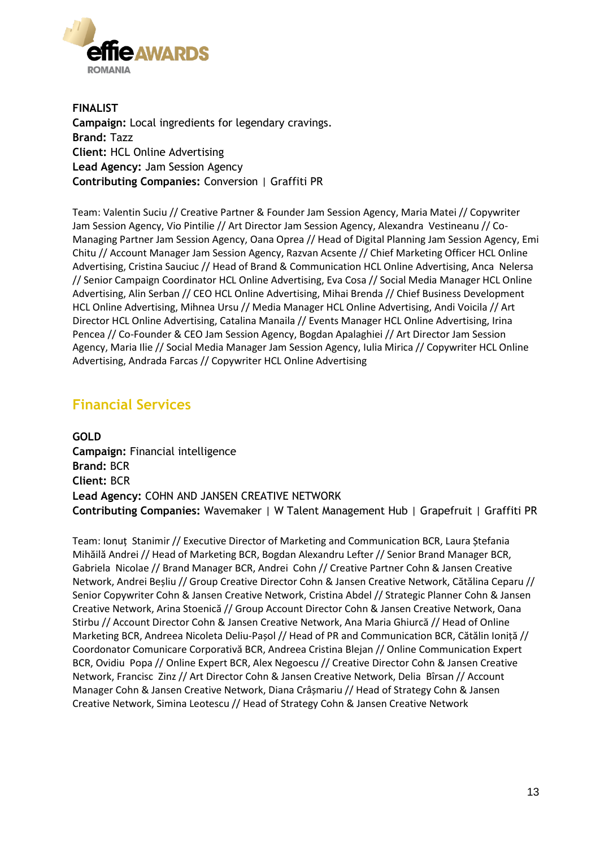

**FINALIST Campaign:** Local ingredients for legendary cravings. **Brand:** Tazz **Client:** HCL Online Advertising **Lead Agency:** Jam Session Agency **Contributing Companies:** Conversion | Graffiti PR

Team: Valentin Suciu // Creative Partner & Founder Jam Session Agency, Maria Matei // Copywriter Jam Session Agency, Vio Pintilie // Art Director Jam Session Agency, Alexandra Vestineanu // Co-Managing Partner Jam Session Agency, Oana Oprea // Head of Digital Planning Jam Session Agency, Emi Chitu // Account Manager Jam Session Agency, Razvan Acsente // Chief Marketing Officer HCL Online Advertising, Cristina Sauciuc // Head of Brand & Communication HCL Online Advertising, Anca Nelersa // Senior Campaign Coordinator HCL Online Advertising, Eva Cosa // Social Media Manager HCL Online Advertising, Alin Serban // CEO HCL Online Advertising, Mihai Brenda // Chief Business Development HCL Online Advertising, Mihnea Ursu // Media Manager HCL Online Advertising, Andi Voicila // Art Director HCL Online Advertising, Catalina Manaila // Events Manager HCL Online Advertising, Irina Pencea // Co-Founder & CEO Jam Session Agency, Bogdan Apalaghiei // Art Director Jam Session Agency, Maria Ilie // Social Media Manager Jam Session Agency, Iulia Mirica // Copywriter HCL Online Advertising, Andrada Farcas // Copywriter HCL Online Advertising

### **Financial Services**

**GOLD Campaign:** Financial intelligence **Brand:** BCR **Client:** BCR **Lead Agency:** COHN AND JANSEN CREATIVE NETWORK **Contributing Companies:** Wavemaker | W Talent Management Hub | Grapefruit | Graffiti PR

Team: Ionuț Stanimir // Executive Director of Marketing and Communication BCR, Laura Ștefania Mihăilă Andrei // Head of Marketing BCR, Bogdan Alexandru Lefter // Senior Brand Manager BCR, Gabriela Nicolae // Brand Manager BCR, Andrei Cohn // Creative Partner Cohn & Jansen Creative Network, Andrei Beșliu // Group Creative Director Cohn & Jansen Creative Network, Cătălina Ceparu // Senior Copywriter Cohn & Jansen Creative Network, Cristina Abdel // Strategic Planner Cohn & Jansen Creative Network, Arina Stoenică // Group Account Director Cohn & Jansen Creative Network, Oana Stirbu // Account Director Cohn & Jansen Creative Network, Ana Maria Ghiurcă // Head of Online Marketing BCR, Andreea Nicoleta Deliu-Pașol // Head of PR and Communication BCR, Cătălin Ioniță // Coordonator Comunicare Corporativă BCR, Andreea Cristina Blejan // Online Communication Expert BCR, Ovidiu Popa // Online Expert BCR, Alex Negoescu // Creative Director Cohn & Jansen Creative Network, Francisc Zinz // Art Director Cohn & Jansen Creative Network, Delia Bîrsan // Account Manager Cohn & Jansen Creative Network, Diana Crâșmariu // Head of Strategy Cohn & Jansen Creative Network, Simina Leotescu // Head of Strategy Cohn & Jansen Creative Network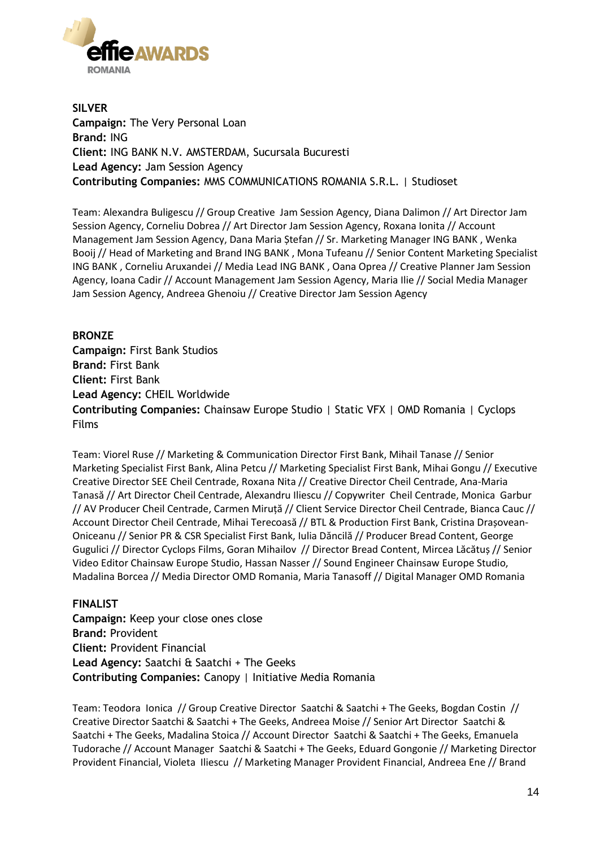

**SILVER Campaign:** The Very Personal Loan **Brand:** ING **Client:** ING BANK N.V. AMSTERDAM, Sucursala Bucuresti **Lead Agency:** Jam Session Agency **Contributing Companies:** MMS COMMUNICATIONS ROMANIA S.R.L. | Studioset

Team: Alexandra Buligescu // Group Creative Jam Session Agency, Diana Dalimon // Art Director Jam Session Agency, Corneliu Dobrea // Art Director Jam Session Agency, Roxana Ionita // Account Management Jam Session Agency, Dana Maria Ștefan // Sr. Marketing Manager ING BANK , Wenka Booij // Head of Marketing and Brand ING BANK , Mona Tufeanu // Senior Content Marketing Specialist ING BANK , Corneliu Aruxandei // Media Lead ING BANK , Oana Oprea // Creative Planner Jam Session Agency, Ioana Cadir // Account Management Jam Session Agency, Maria Ilie // Social Media Manager Jam Session Agency, Andreea Ghenoiu // Creative Director Jam Session Agency

#### **BRONZE**

**Campaign:** First Bank Studios **Brand:** First Bank **Client:** First Bank **Lead Agency:** CHEIL Worldwide **Contributing Companies:** Chainsaw Europe Studio | Static VFX | OMD Romania | Cyclops Films

Team: Viorel Ruse // Marketing & Communication Director First Bank, Mihail Tanase // Senior Marketing Specialist First Bank, Alina Petcu // Marketing Specialist First Bank, Mihai Gongu // Executive Creative Director SEE Cheil Centrade, Roxana Nita // Creative Director Cheil Centrade, Ana-Maria Tanasă // Art Director Cheil Centrade, Alexandru Iliescu // Copywriter Cheil Centrade, Monica Garbur // AV Producer Cheil Centrade, Carmen Miruță // Client Service Director Cheil Centrade, Bianca Cauc // Account Director Cheil Centrade, Mihai Terecoasă // BTL & Production First Bank, Cristina Drașovean-Oniceanu // Senior PR & CSR Specialist First Bank, Iulia Dăncilă // Producer Bread Content, George Gugulici // Director Cyclops Films, Goran Mihailov // Director Bread Content, Mircea Lăcătuș // Senior Video Editor Chainsaw Europe Studio, Hassan Nasser // Sound Engineer Chainsaw Europe Studio, Madalina Borcea // Media Director OMD Romania, Maria Tanasoff // Digital Manager OMD Romania

#### **FINALIST**

**Campaign:** Keep your close ones close **Brand:** Provident **Client:** Provident Financial **Lead Agency:** Saatchi & Saatchi + The Geeks **Contributing Companies:** Canopy | Initiative Media Romania

Team: Teodora Ionica // Group Creative Director Saatchi & Saatchi + The Geeks, Bogdan Costin // Creative Director Saatchi & Saatchi + The Geeks, Andreea Moise // Senior Art Director Saatchi & Saatchi + The Geeks, Madalina Stoica // Account Director Saatchi & Saatchi + The Geeks, Emanuela Tudorache // Account Manager Saatchi & Saatchi + The Geeks, Eduard Gongonie // Marketing Director Provident Financial, Violeta Iliescu // Marketing Manager Provident Financial, Andreea Ene // Brand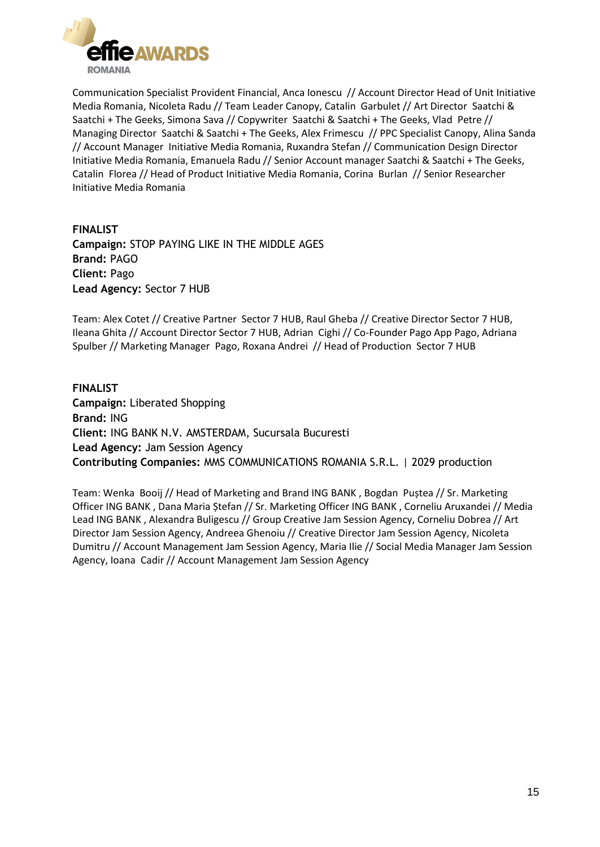

Communication Specialist Provident Financial, Anca Ionescu // Account Director Head of Unit Initiative Media Romania, Nicoleta Radu // Team Leader Canopy, Catalin Garbulet // Art Director Saatchi & Saatchi + The Geeks, Simona Sava // Copywriter Saatchi & Saatchi + The Geeks, Vlad Petre // Managing Director Saatchi & Saatchi + The Geeks, Alex Frimescu // PPC Specialist Canopy, Alina Sanda // Account Manager Initiative Media Romania, Ruxandra Stefan // Communication Design Director Initiative Media Romania, Emanuela Radu // Senior Account manager Saatchi & Saatchi + The Geeks, Catalin Florea // Head of Product Initiative Media Romania, Corina Burlan // Senior Researcher Initiative Media Romania

**FINALIST Campaign:** STOP PAYING LIKE IN THE MIDDLE AGES **Brand:** PAGO **Client:** Pago **Lead Agency:** Sector 7 HUB

Team: Alex Cotet // Creative Partner Sector 7 HUB, Raul Gheba // Creative Director Sector 7 HUB, Ileana Ghita // Account Director Sector 7 HUB, Adrian Cighi // Co-Founder Pago App Pago, Adriana Spulber // Marketing Manager Pago, Roxana Andrei // Head of Production Sector 7 HUB

#### **FINALIST**

**Campaign:** Liberated Shopping **Brand:** ING **Client:** ING BANK N.V. AMSTERDAM, Sucursala Bucuresti **Lead Agency:** Jam Session Agency **Contributing Companies:** MMS COMMUNICATIONS ROMANIA S.R.L. | 2029 production

Team: Wenka Booij // Head of Marketing and Brand ING BANK , Bogdan Puștea // Sr. Marketing Officer ING BANK , Dana Maria Ștefan // Sr. Marketing Officer ING BANK , Corneliu Aruxandei // Media Lead ING BANK , Alexandra Buligescu // Group Creative Jam Session Agency, Corneliu Dobrea // Art Director Jam Session Agency, Andreea Ghenoiu // Creative Director Jam Session Agency, Nicoleta Dumitru // Account Management Jam Session Agency, Maria Ilie // Social Media Manager Jam Session Agency, Ioana Cadir // Account Management Jam Session Agency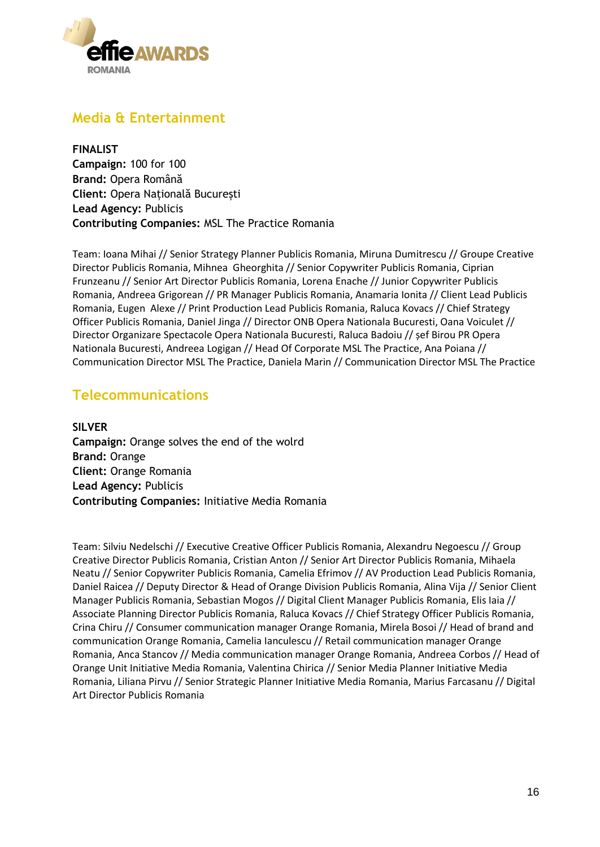

### **Media & Entertainment**

**FINALIST Campaign:** 100 for 100 **Brand:** Opera Română **Client:** Opera Națională București **Lead Agency:** Publicis **Contributing Companies:** MSL The Practice Romania

Team: Ioana Mihai // Senior Strategy Planner Publicis Romania, Miruna Dumitrescu // Groupe Creative Director Publicis Romania, Mihnea Gheorghita // Senior Copywriter Publicis Romania, Ciprian Frunzeanu // Senior Art Director Publicis Romania, Lorena Enache // Junior Copywriter Publicis Romania, Andreea Grigorean // PR Manager Publicis Romania, Anamaria Ionita // Client Lead Publicis Romania, Eugen Alexe // Print Production Lead Publicis Romania, Raluca Kovacs // Chief Strategy Officer Publicis Romania, Daniel Jinga // Director ONB Opera Nationala Bucuresti, Oana Voiculet // Director Organizare Spectacole Opera Nationala Bucuresti, Raluca Badoiu // șef Birou PR Opera Nationala Bucuresti, Andreea Logigan // Head Of Corporate MSL The Practice, Ana Poiana // Communication Director MSL The Practice, Daniela Marin // Communication Director MSL The Practice

### **Telecommunications**

**SILVER Campaign:** Orange solves the end of the wolrd **Brand:** Orange **Client:** Orange Romania **Lead Agency:** Publicis **Contributing Companies:** Initiative Media Romania

Team: Silviu Nedelschi // Executive Creative Officer Publicis Romania, Alexandru Negoescu // Group Creative Director Publicis Romania, Cristian Anton // Senior Art Director Publicis Romania, Mihaela Neatu // Senior Copywriter Publicis Romania, Camelia Efrimov // AV Production Lead Publicis Romania, Daniel Raicea // Deputy Director & Head of Orange Division Publicis Romania, Alina Vija // Senior Client Manager Publicis Romania, Sebastian Mogos // Digital Client Manager Publicis Romania, Elis Iaia // Associate Planning Director Publicis Romania, Raluca Kovacs // Chief Strategy Officer Publicis Romania, Crina Chiru // Consumer communication manager Orange Romania, Mirela Bosoi // Head of brand and communication Orange Romania, Camelia Ianculescu // Retail communication manager Orange Romania, Anca Stancov // Media communication manager Orange Romania, Andreea Corbos // Head of Orange Unit Initiative Media Romania, Valentina Chirica // Senior Media Planner Initiative Media Romania, Liliana Pirvu // Senior Strategic Planner Initiative Media Romania, Marius Farcasanu // Digital Art Director Publicis Romania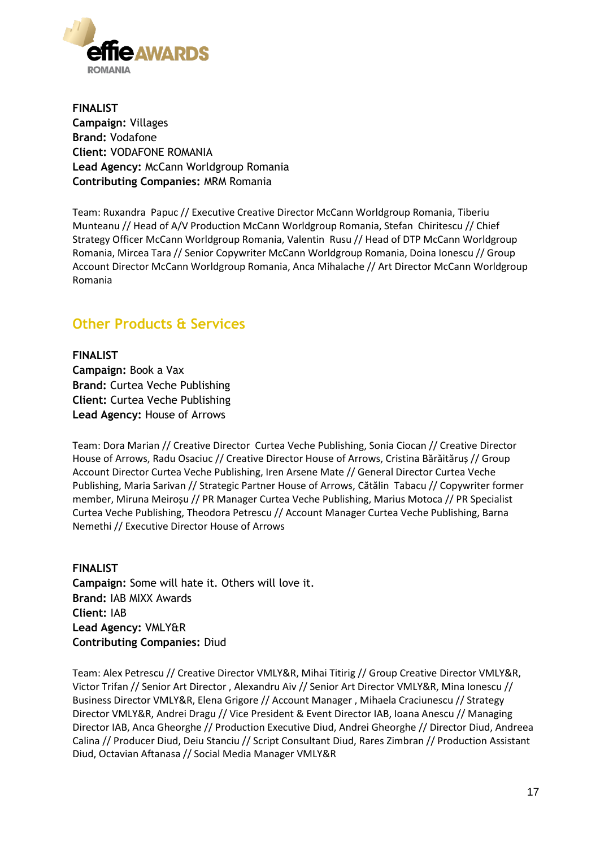

**FINALIST Campaign:** Villages **Brand:** Vodafone **Client:** VODAFONE ROMANIA **Lead Agency:** McCann Worldgroup Romania **Contributing Companies:** MRM Romania

Team: Ruxandra Papuc // Executive Creative Director McCann Worldgroup Romania, Tiberiu Munteanu // Head of A/V Production McCann Worldgroup Romania, Stefan Chiritescu // Chief Strategy Officer McCann Worldgroup Romania, Valentin Rusu // Head of DTP McCann Worldgroup Romania, Mircea Tara // Senior Copywriter McCann Worldgroup Romania, Doina Ionescu // Group Account Director McCann Worldgroup Romania, Anca Mihalache // Art Director McCann Worldgroup Romania

# **Other Products & Services**

**FINALIST Campaign:** Book a Vax **Brand:** Curtea Veche Publishing **Client:** Curtea Veche Publishing **Lead Agency:** House of Arrows

Team: Dora Marian // Creative Director Curtea Veche Publishing, Sonia Ciocan // Creative Director House of Arrows, Radu Osaciuc // Creative Director House of Arrows, Cristina Bărăităruș // Group Account Director Curtea Veche Publishing, Iren Arsene Mate // General Director Curtea Veche Publishing, Maria Sarivan // Strategic Partner House of Arrows, Cătălin Tabacu // Copywriter former member, Miruna Meiroșu // PR Manager Curtea Veche Publishing, Marius Motoca // PR Specialist Curtea Veche Publishing, Theodora Petrescu // Account Manager Curtea Veche Publishing, Barna Nemethi // Executive Director House of Arrows

**FINALIST Campaign:** Some will hate it. Others will love it. **Brand:** IAB MIXX Awards **Client:** IAB **Lead Agency:** VMLY&R **Contributing Companies:** Diud

Team: Alex Petrescu // Creative Director VMLY&R, Mihai Titirig // Group Creative Director VMLY&R, Victor Trifan // Senior Art Director , Alexandru Aiv // Senior Art Director VMLY&R, Mina Ionescu // Business Director VMLY&R, Elena Grigore // Account Manager , Mihaela Craciunescu // Strategy Director VMLY&R, Andrei Dragu // Vice President & Event Director IAB, Ioana Anescu // Managing Director IAB, Anca Gheorghe // Production Executive Diud, Andrei Gheorghe // Director Diud, Andreea Calina // Producer Diud, Deiu Stanciu // Script Consultant Diud, Rares Zimbran // Production Assistant Diud, Octavian Aftanasa // Social Media Manager VMLY&R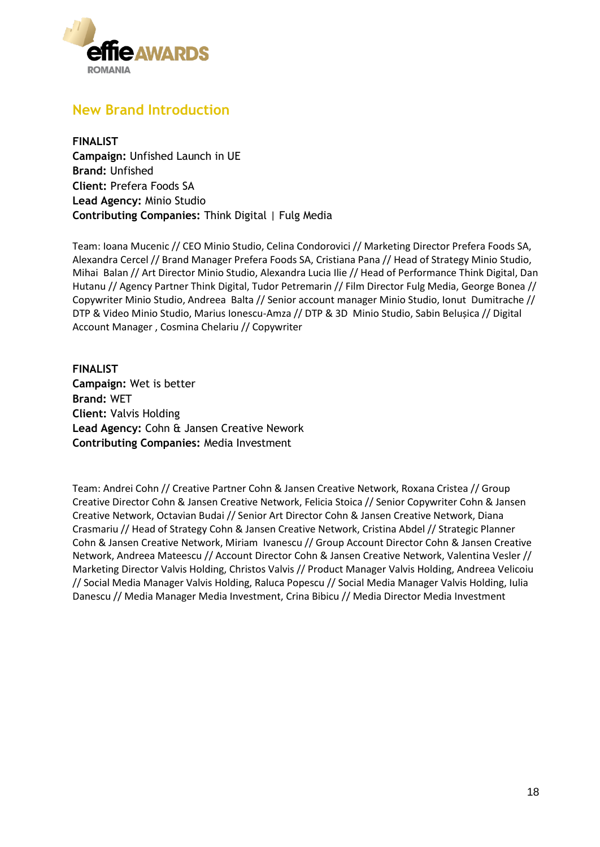

### **New Brand Introduction**

**FINALIST Campaign:** Unfished Launch in UE **Brand:** Unfished **Client:** Prefera Foods SA **Lead Agency:** Minio Studio **Contributing Companies:** Think Digital | Fulg Media

Team: Ioana Mucenic // CEO Minio Studio, Celina Condorovici // Marketing Director Prefera Foods SA, Alexandra Cercel // Brand Manager Prefera Foods SA, Cristiana Pana // Head of Strategy Minio Studio, Mihai Balan // Art Director Minio Studio, Alexandra Lucia Ilie // Head of Performance Think Digital, Dan Hutanu // Agency Partner Think Digital, Tudor Petremarin // Film Director Fulg Media, George Bonea // Copywriter Minio Studio, Andreea Balta // Senior account manager Minio Studio, Ionut Dumitrache // DTP & Video Minio Studio, Marius Ionescu-Amza // DTP & 3D Minio Studio, Sabin Belușica // Digital Account Manager , Cosmina Chelariu // Copywriter

**FINALIST Campaign:** Wet is better **Brand:** WET **Client:** Valvis Holding **Lead Agency:** Cohn & Jansen Creative Nework **Contributing Companies:** Media Investment

Team: Andrei Cohn // Creative Partner Cohn & Jansen Creative Network, Roxana Cristea // Group Creative Director Cohn & Jansen Creative Network, Felicia Stoica // Senior Copywriter Cohn & Jansen Creative Network, Octavian Budai // Senior Art Director Cohn & Jansen Creative Network, Diana Crasmariu // Head of Strategy Cohn & Jansen Creative Network, Cristina Abdel // Strategic Planner Cohn & Jansen Creative Network, Miriam Ivanescu // Group Account Director Cohn & Jansen Creative Network, Andreea Mateescu // Account Director Cohn & Jansen Creative Network, Valentina Vesler // Marketing Director Valvis Holding, Christos Valvis // Product Manager Valvis Holding, Andreea Velicoiu // Social Media Manager Valvis Holding, Raluca Popescu // Social Media Manager Valvis Holding, Iulia Danescu // Media Manager Media Investment, Crina Bibicu // Media Director Media Investment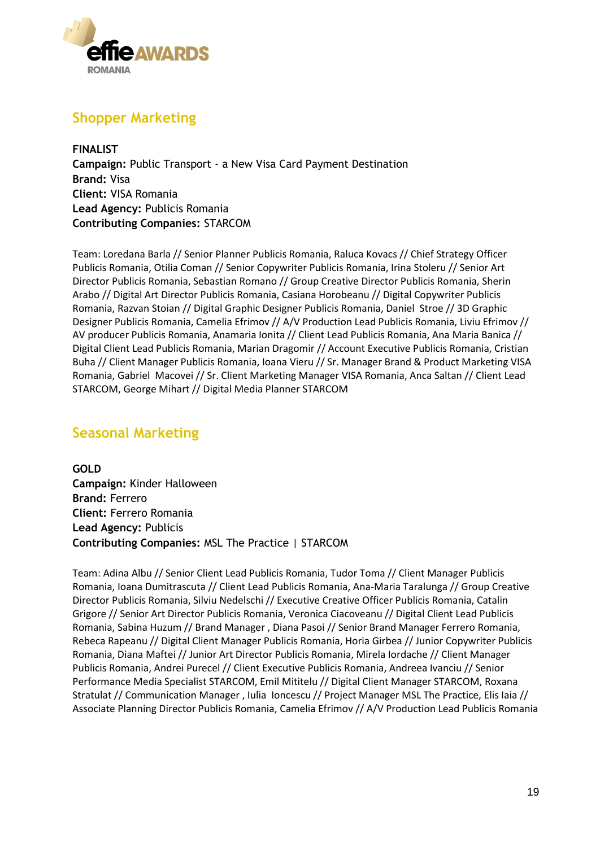

# **Shopper Marketing**

**FINALIST Campaign:** Public Transport - a New Visa Card Payment Destination **Brand:** Visa **Client:** VISA Romania **Lead Agency:** Publicis Romania **Contributing Companies:** STARCOM

Team: Loredana Barla // Senior Planner Publicis Romania, Raluca Kovacs // Chief Strategy Officer Publicis Romania, Otilia Coman // Senior Copywriter Publicis Romania, Irina Stoleru // Senior Art Director Publicis Romania, Sebastian Romano // Group Creative Director Publicis Romania, Sherin Arabo // Digital Art Director Publicis Romania, Casiana Horobeanu // Digital Copywriter Publicis Romania, Razvan Stoian // Digital Graphic Designer Publicis Romania, Daniel Stroe // 3D Graphic Designer Publicis Romania, Camelia Efrimov // A/V Production Lead Publicis Romania, Liviu Efrimov // AV producer Publicis Romania, Anamaria Ionita // Client Lead Publicis Romania, Ana Maria Banica // Digital Client Lead Publicis Romania, Marian Dragomir // Account Executive Publicis Romania, Cristian Buha // Client Manager Publicis Romania, Ioana Vieru // Sr. Manager Brand & Product Marketing VISA Romania, Gabriel Macovei // Sr. Client Marketing Manager VISA Romania, Anca Saltan // Client Lead STARCOM, George Mihart // Digital Media Planner STARCOM

# **Seasonal Marketing**

**GOLD Campaign:** Kinder Halloween **Brand:** Ferrero **Client:** Ferrero Romania **Lead Agency:** Publicis **Contributing Companies:** MSL The Practice | STARCOM

Team: Adina Albu // Senior Client Lead Publicis Romania, Tudor Toma // Client Manager Publicis Romania, Ioana Dumitrascuta // Client Lead Publicis Romania, Ana-Maria Taralunga // Group Creative Director Publicis Romania, Silviu Nedelschi // Executive Creative Officer Publicis Romania, Catalin Grigore // Senior Art Director Publicis Romania, Veronica Ciacoveanu // Digital Client Lead Publicis Romania, Sabina Huzum // Brand Manager , Diana Pasoi // Senior Brand Manager Ferrero Romania, Rebeca Rapeanu // Digital Client Manager Publicis Romania, Horia Girbea // Junior Copywriter Publicis Romania, Diana Maftei // Junior Art Director Publicis Romania, Mirela Iordache // Client Manager Publicis Romania, Andrei Purecel // Client Executive Publicis Romania, Andreea Ivanciu // Senior Performance Media Specialist STARCOM, Emil Mititelu // Digital Client Manager STARCOM, Roxana Stratulat // Communication Manager , Iulia Ioncescu // Project Manager MSL The Practice, Elis Iaia // Associate Planning Director Publicis Romania, Camelia Efrimov // A/V Production Lead Publicis Romania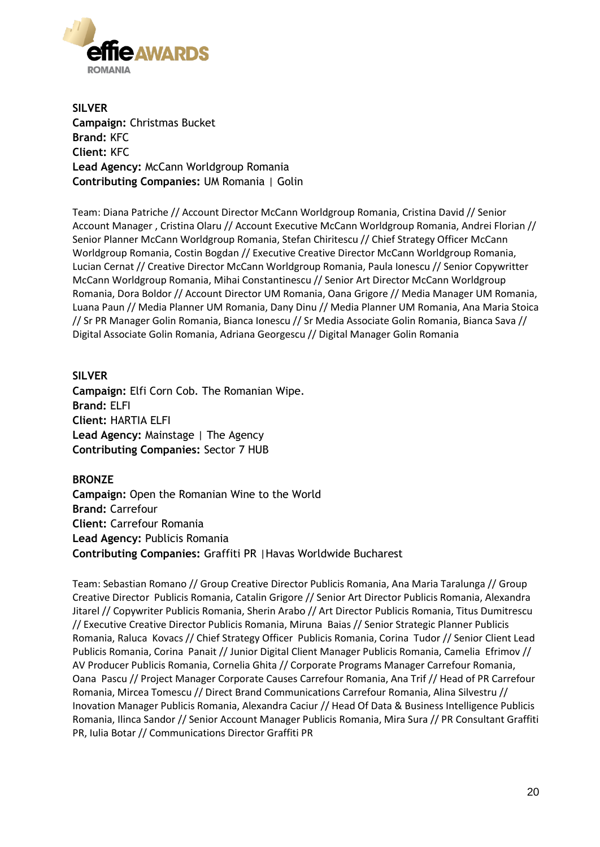

**SILVER Campaign:** Christmas Bucket **Brand:** KFC **Client:** KFC **Lead Agency:** McCann Worldgroup Romania **Contributing Companies:** UM Romania | Golin

Team: Diana Patriche // Account Director McCann Worldgroup Romania, Cristina David // Senior Account Manager , Cristina Olaru // Account Executive McCann Worldgroup Romania, Andrei Florian // Senior Planner McCann Worldgroup Romania, Stefan Chiritescu // Chief Strategy Officer McCann Worldgroup Romania, Costin Bogdan // Executive Creative Director McCann Worldgroup Romania, Lucian Cernat // Creative Director McCann Worldgroup Romania, Paula Ionescu // Senior Copywritter McCann Worldgroup Romania, Mihai Constantinescu // Senior Art Director McCann Worldgroup Romania, Dora Boldor // Account Director UM Romania, Oana Grigore // Media Manager UM Romania, Luana Paun // Media Planner UM Romania, Dany Dinu // Media Planner UM Romania, Ana Maria Stoica // Sr PR Manager Golin Romania, Bianca Ionescu // Sr Media Associate Golin Romania, Bianca Sava // Digital Associate Golin Romania, Adriana Georgescu // Digital Manager Golin Romania

**SILVER Campaign:** Elfi Corn Cob. The Romanian Wipe. **Brand:** ELFI **Client:** HARTIA ELFI **Lead Agency:** Mainstage | The Agency **Contributing Companies:** Sector 7 HUB

#### **BRONZE**

**Campaign:** Open the Romanian Wine to the World **Brand:** Carrefour **Client:** Carrefour Romania **Lead Agency:** Publicis Romania **Contributing Companies:** Graffiti PR |Havas Worldwide Bucharest

Team: Sebastian Romano // Group Creative Director Publicis Romania, Ana Maria Taralunga // Group Creative Director Publicis Romania, Catalin Grigore // Senior Art Director Publicis Romania, Alexandra Jitarel // Copywriter Publicis Romania, Sherin Arabo // Art Director Publicis Romania, Titus Dumitrescu // Executive Creative Director Publicis Romania, Miruna Baias // Senior Strategic Planner Publicis Romania, Raluca Kovacs // Chief Strategy Officer Publicis Romania, Corina Tudor // Senior Client Lead Publicis Romania, Corina Panait // Junior Digital Client Manager Publicis Romania, Camelia Efrimov // AV Producer Publicis Romania, Cornelia Ghita // Corporate Programs Manager Carrefour Romania, Oana Pascu // Project Manager Corporate Causes Carrefour Romania, Ana Trif // Head of PR Carrefour Romania, Mircea Tomescu // Direct Brand Communications Carrefour Romania, Alina Silvestru // Inovation Manager Publicis Romania, Alexandra Caciur // Head Of Data & Business Intelligence Publicis Romania, Ilinca Sandor // Senior Account Manager Publicis Romania, Mira Sura // PR Consultant Graffiti PR, Iulia Botar // Communications Director Graffiti PR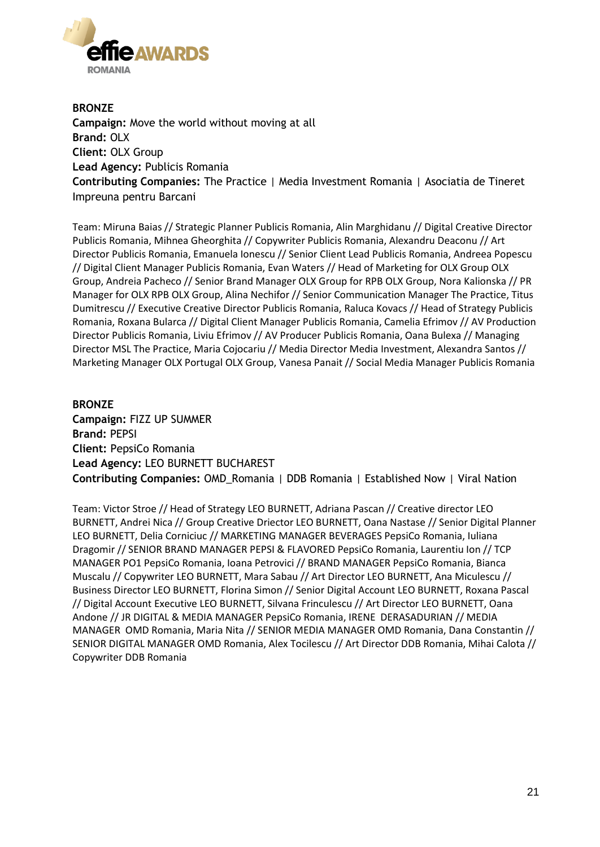

**BRONZE Campaign:** Move the world without moving at all **Brand:** OLX **Client:** OLX Group **Lead Agency:** Publicis Romania **Contributing Companies:** The Practice | Media Investment Romania | Asociatia de Tineret Impreuna pentru Barcani

Team: Miruna Baias // Strategic Planner Publicis Romania, Alin Marghidanu // Digital Creative Director Publicis Romania, Mihnea Gheorghita // Copywriter Publicis Romania, Alexandru Deaconu // Art Director Publicis Romania, Emanuela Ionescu // Senior Client Lead Publicis Romania, Andreea Popescu // Digital Client Manager Publicis Romania, Evan Waters // Head of Marketing for OLX Group OLX Group, Andreia Pacheco // Senior Brand Manager OLX Group for RPB OLX Group, Nora Kalionska // PR Manager for OLX RPB OLX Group, Alina Nechifor // Senior Communication Manager The Practice, Titus Dumitrescu // Executive Creative Director Publicis Romania, Raluca Kovacs // Head of Strategy Publicis Romania, Roxana Bularca // Digital Client Manager Publicis Romania, Camelia Efrimov // AV Production Director Publicis Romania, Liviu Efrimov // AV Producer Publicis Romania, Oana Bulexa // Managing Director MSL The Practice, Maria Cojocariu // Media Director Media Investment, Alexandra Santos // Marketing Manager OLX Portugal OLX Group, Vanesa Panait // Social Media Manager Publicis Romania

#### **BRONZE**

**Campaign:** FIZZ UP SUMMER **Brand:** PEPSI **Client:** PepsiCo Romania **Lead Agency:** LEO BURNETT BUCHAREST **Contributing Companies:** OMD\_Romania | DDB Romania | Established Now | Viral Nation

Team: Victor Stroe // Head of Strategy LEO BURNETT, Adriana Pascan // Creative director LEO BURNETT, Andrei Nica // Group Creative Driector LEO BURNETT, Oana Nastase // Senior Digital Planner LEO BURNETT, Delia Corniciuc // MARKETING MANAGER BEVERAGES PepsiCo Romania, Iuliana Dragomir // SENIOR BRAND MANAGER PEPSI & FLAVORED PepsiCo Romania, Laurentiu Ion // TCP MANAGER PO1 PepsiCo Romania, Ioana Petrovici // BRAND MANAGER PepsiCo Romania, Bianca Muscalu // Copywriter LEO BURNETT, Mara Sabau // Art Director LEO BURNETT, Ana Miculescu // Business Director LEO BURNETT, Florina Simon // Senior Digital Account LEO BURNETT, Roxana Pascal // Digital Account Executive LEO BURNETT, Silvana Frinculescu // Art Director LEO BURNETT, Oana Andone // JR DIGITAL & MEDIA MANAGER PepsiCo Romania, IRENE DERASADURIAN // MEDIA MANAGER OMD Romania, Maria Nita // SENIOR MEDIA MANAGER OMD Romania, Dana Constantin // SENIOR DIGITAL MANAGER OMD Romania, Alex Tocilescu // Art Director DDB Romania, Mihai Calota // Copywriter DDB Romania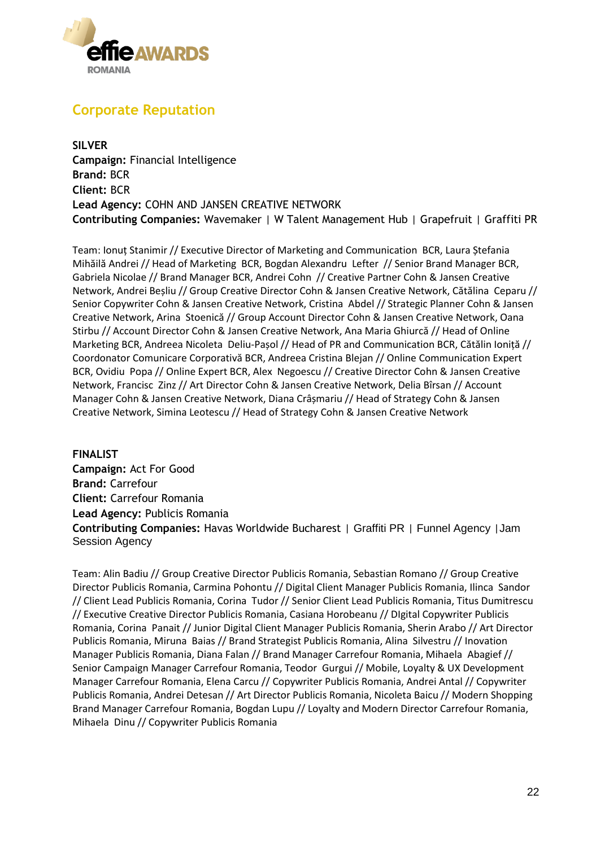

# **Corporate Reputation**

**SILVER Campaign:** Financial Intelligence **Brand:** BCR **Client:** BCR **Lead Agency:** COHN AND JANSEN CREATIVE NETWORK **Contributing Companies:** Wavemaker | W Talent Management Hub | Grapefruit | Graffiti PR

Team: Ionuț Stanimir // Executive Director of Marketing and Communication BCR, Laura Ștefania Mihăilă Andrei // Head of Marketing BCR, Bogdan Alexandru Lefter // Senior Brand Manager BCR, Gabriela Nicolae // Brand Manager BCR, Andrei Cohn // Creative Partner Cohn & Jansen Creative Network, Andrei Beșliu // Group Creative Director Cohn & Jansen Creative Network, Cătălina Ceparu // Senior Copywriter Cohn & Jansen Creative Network, Cristina Abdel // Strategic Planner Cohn & Jansen Creative Network, Arina Stoenică // Group Account Director Cohn & Jansen Creative Network, Oana Stirbu // Account Director Cohn & Jansen Creative Network, Ana Maria Ghiurcă // Head of Online Marketing BCR, Andreea Nicoleta Deliu-Pașol // Head of PR and Communication BCR, Cătălin Ioniță // Coordonator Comunicare Corporativă BCR, Andreea Cristina Blejan // Online Communication Expert BCR, Ovidiu Popa // Online Expert BCR, Alex Negoescu // Creative Director Cohn & Jansen Creative Network, Francisc Zinz // Art Director Cohn & Jansen Creative Network, Delia Bîrsan // Account Manager Cohn & Jansen Creative Network, Diana Crâșmariu // Head of Strategy Cohn & Jansen Creative Network, Simina Leotescu // Head of Strategy Cohn & Jansen Creative Network

**FINALIST Campaign:** Act For Good **Brand:** Carrefour **Client:** Carrefour Romania **Lead Agency:** Publicis Romania **Contributing Companies:** Havas Worldwide Bucharest | Graffiti PR | Funnel Agency |Jam Session Agency

Team: Alin Badiu // Group Creative Director Publicis Romania, Sebastian Romano // Group Creative Director Publicis Romania, Carmina Pohontu // Digital Client Manager Publicis Romania, Ilinca Sandor // Client Lead Publicis Romania, Corina Tudor // Senior Client Lead Publicis Romania, Titus Dumitrescu // Executive Creative Director Publicis Romania, Casiana Horobeanu // DIgital Copywriter Publicis Romania, Corina Panait // Junior Digital Client Manager Publicis Romania, Sherin Arabo // Art Director Publicis Romania, Miruna Baias // Brand Strategist Publicis Romania, Alina Silvestru // Inovation Manager Publicis Romania, Diana Falan // Brand Manager Carrefour Romania, Mihaela Abagief // Senior Campaign Manager Carrefour Romania, Teodor Gurgui // Mobile, Loyalty & UX Development Manager Carrefour Romania, Elena Carcu // Copywriter Publicis Romania, Andrei Antal // Copywriter Publicis Romania, Andrei Detesan // Art Director Publicis Romania, Nicoleta Baicu // Modern Shopping Brand Manager Carrefour Romania, Bogdan Lupu // Loyalty and Modern Director Carrefour Romania, Mihaela Dinu // Copywriter Publicis Romania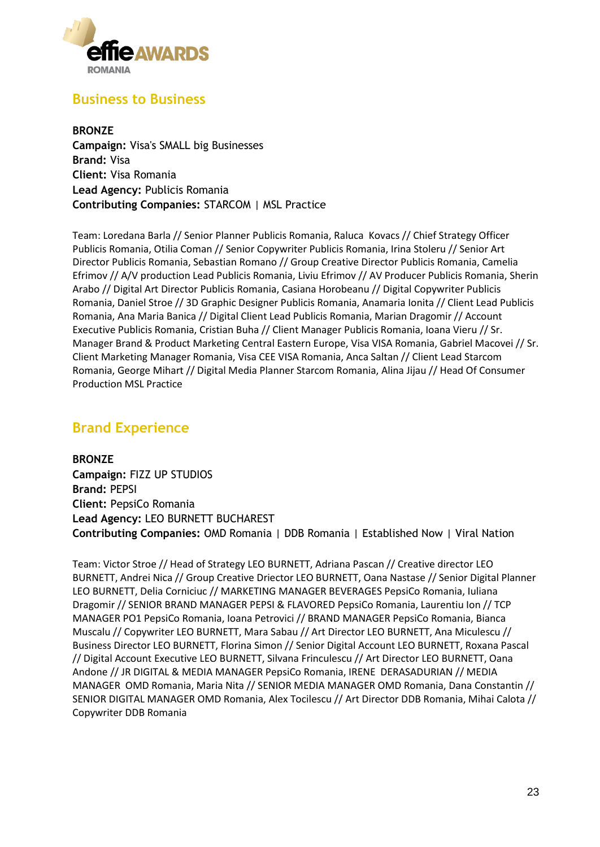

### **Business to Business**

**BRONZE Campaign:** Visa's SMALL big Businesses **Brand:** Visa **Client:** Visa Romania **Lead Agency:** Publicis Romania **Contributing Companies:** STARCOM | MSL Practice

Team: Loredana Barla // Senior Planner Publicis Romania, Raluca Kovacs // Chief Strategy Officer Publicis Romania, Otilia Coman // Senior Copywriter Publicis Romania, Irina Stoleru // Senior Art Director Publicis Romania, Sebastian Romano // Group Creative Director Publicis Romania, Camelia Efrimov // A/V production Lead Publicis Romania, Liviu Efrimov // AV Producer Publicis Romania, Sherin Arabo // Digital Art Director Publicis Romania, Casiana Horobeanu // Digital Copywriter Publicis Romania, Daniel Stroe // 3D Graphic Designer Publicis Romania, Anamaria Ionita // Client Lead Publicis Romania, Ana Maria Banica // Digital Client Lead Publicis Romania, Marian Dragomir // Account Executive Publicis Romania, Cristian Buha // Client Manager Publicis Romania, Ioana Vieru // Sr. Manager Brand & Product Marketing Central Eastern Europe, Visa VISA Romania, Gabriel Macovei // Sr. Client Marketing Manager Romania, Visa CEE VISA Romania, Anca Saltan // Client Lead Starcom Romania, George Mihart // Digital Media Planner Starcom Romania, Alina Jijau // Head Of Consumer Production MSL Practice

### **Brand Experience**

**BRONZE Campaign:** FIZZ UP STUDIOS **Brand:** PEPSI **Client:** PepsiCo Romania **Lead Agency:** LEO BURNETT BUCHAREST **Contributing Companies:** OMD Romania | DDB Romania | Established Now | Viral Nation

Team: Victor Stroe // Head of Strategy LEO BURNETT, Adriana Pascan // Creative director LEO BURNETT, Andrei Nica // Group Creative Driector LEO BURNETT, Oana Nastase // Senior Digital Planner LEO BURNETT, Delia Corniciuc // MARKETING MANAGER BEVERAGES PepsiCo Romania, Iuliana Dragomir // SENIOR BRAND MANAGER PEPSI & FLAVORED PepsiCo Romania, Laurentiu Ion // TCP MANAGER PO1 PepsiCo Romania, Ioana Petrovici // BRAND MANAGER PepsiCo Romania, Bianca Muscalu // Copywriter LEO BURNETT, Mara Sabau // Art Director LEO BURNETT, Ana Miculescu // Business Director LEO BURNETT, Florina Simon // Senior Digital Account LEO BURNETT, Roxana Pascal // Digital Account Executive LEO BURNETT, Silvana Frinculescu // Art Director LEO BURNETT, Oana Andone // JR DIGITAL & MEDIA MANAGER PepsiCo Romania, IRENE DERASADURIAN // MEDIA MANAGER OMD Romania, Maria Nita // SENIOR MEDIA MANAGER OMD Romania, Dana Constantin // SENIOR DIGITAL MANAGER OMD Romania, Alex Tocilescu // Art Director DDB Romania, Mihai Calota // Copywriter DDB Romania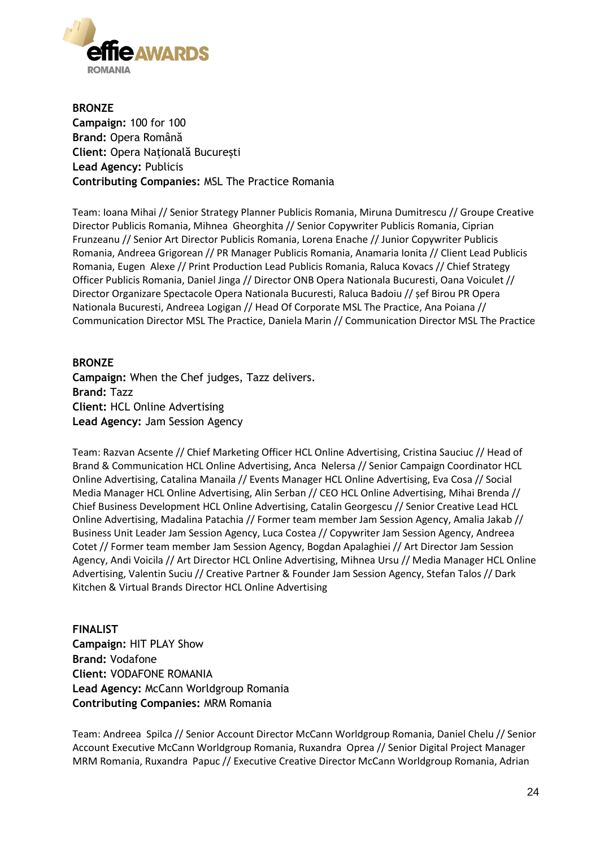

**BRONZE Campaign:** 100 for 100 **Brand:** Opera Română **Client:** Opera Națională București **Lead Agency:** Publicis **Contributing Companies:** MSL The Practice Romania

Team: Ioana Mihai // Senior Strategy Planner Publicis Romania, Miruna Dumitrescu // Groupe Creative Director Publicis Romania, Mihnea Gheorghita // Senior Copywriter Publicis Romania, Ciprian Frunzeanu // Senior Art Director Publicis Romania, Lorena Enache // Junior Copywriter Publicis Romania, Andreea Grigorean // PR Manager Publicis Romania, Anamaria Ionita // Client Lead Publicis Romania, Eugen Alexe // Print Production Lead Publicis Romania, Raluca Kovacs // Chief Strategy Officer Publicis Romania, Daniel Jinga // Director ONB Opera Nationala Bucuresti, Oana Voiculet // Director Organizare Spectacole Opera Nationala Bucuresti, Raluca Badoiu // șef Birou PR Opera Nationala Bucuresti, Andreea Logigan // Head Of Corporate MSL The Practice, Ana Poiana // Communication Director MSL The Practice, Daniela Marin // Communication Director MSL The Practice

#### **BRONZE Campaign:** When the Chef judges, Tazz delivers. **Brand:** Tazz **Client:** HCL Online Advertising **Lead Agency:** Jam Session Agency

Team: Razvan Acsente // Chief Marketing Officer HCL Online Advertising, Cristina Sauciuc // Head of Brand & Communication HCL Online Advertising, Anca Nelersa // Senior Campaign Coordinator HCL Online Advertising, Catalina Manaila // Events Manager HCL Online Advertising, Eva Cosa // Social Media Manager HCL Online Advertising, Alin Serban // CEO HCL Online Advertising, Mihai Brenda // Chief Business Development HCL Online Advertising, Catalin Georgescu // Senior Creative Lead HCL Online Advertising, Madalina Patachia // Former team member Jam Session Agency, Amalia Jakab // Business Unit Leader Jam Session Agency, Luca Costea // Copywriter Jam Session Agency, Andreea Cotet // Former team member Jam Session Agency, Bogdan Apalaghiei // Art Director Jam Session Agency, Andi Voicila // Art Director HCL Online Advertising, Mihnea Ursu // Media Manager HCL Online Advertising, Valentin Suciu // Creative Partner & Founder Jam Session Agency, Stefan Talos // Dark Kitchen & Virtual Brands Director HCL Online Advertising

**FINALIST Campaign:** HIT PLAY Show **Brand:** Vodafone **Client:** VODAFONE ROMANIA **Lead Agency:** McCann Worldgroup Romania **Contributing Companies:** MRM Romania

Team: Andreea Spilca // Senior Account Director McCann Worldgroup Romania, Daniel Chelu // Senior Account Executive McCann Worldgroup Romania, Ruxandra Oprea // Senior Digital Project Manager MRM Romania, Ruxandra Papuc // Executive Creative Director McCann Worldgroup Romania, Adrian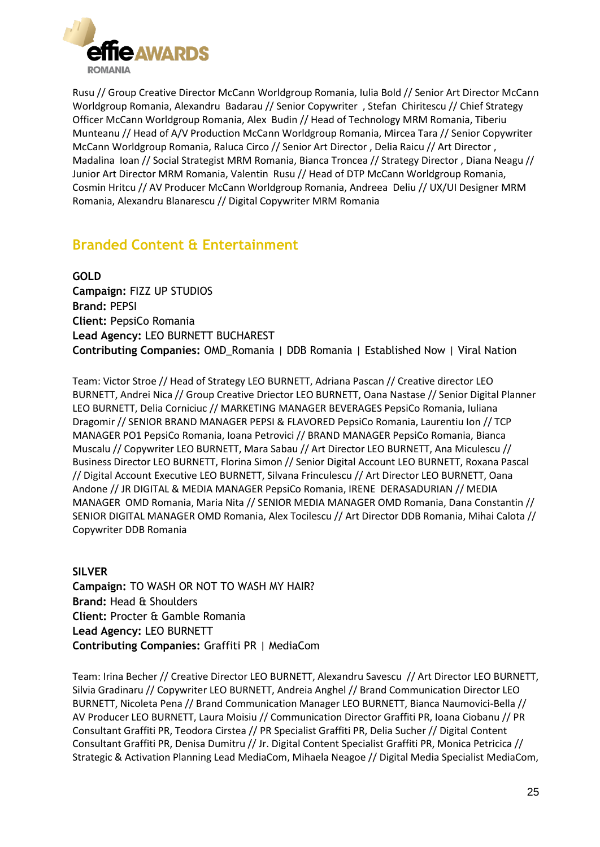

Rusu // Group Creative Director McCann Worldgroup Romania, Iulia Bold // Senior Art Director McCann Worldgroup Romania, Alexandru Badarau // Senior Copywriter , Stefan Chiritescu // Chief Strategy Officer McCann Worldgroup Romania, Alex Budin // Head of Technology MRM Romania, Tiberiu Munteanu // Head of A/V Production McCann Worldgroup Romania, Mircea Tara // Senior Copywriter McCann Worldgroup Romania, Raluca Circo // Senior Art Director , Delia Raicu // Art Director , Madalina Ioan // Social Strategist MRM Romania, Bianca Troncea // Strategy Director , Diana Neagu // Junior Art Director MRM Romania, Valentin Rusu // Head of DTP McCann Worldgroup Romania, Cosmin Hritcu // AV Producer McCann Worldgroup Romania, Andreea Deliu // UX/UI Designer MRM Romania, Alexandru Blanarescu // Digital Copywriter MRM Romania

# **Branded Content & Entertainment**

**GOLD Campaign:** FIZZ UP STUDIOS **Brand:** PEPSI **Client:** PepsiCo Romania **Lead Agency:** LEO BURNETT BUCHAREST **Contributing Companies:** OMD\_Romania | DDB Romania | Established Now | Viral Nation

Team: Victor Stroe // Head of Strategy LEO BURNETT, Adriana Pascan // Creative director LEO BURNETT, Andrei Nica // Group Creative Driector LEO BURNETT, Oana Nastase // Senior Digital Planner LEO BURNETT, Delia Corniciuc // MARKETING MANAGER BEVERAGES PepsiCo Romania, Iuliana Dragomir // SENIOR BRAND MANAGER PEPSI & FLAVORED PepsiCo Romania, Laurentiu Ion // TCP MANAGER PO1 PepsiCo Romania, Ioana Petrovici // BRAND MANAGER PepsiCo Romania, Bianca Muscalu // Copywriter LEO BURNETT, Mara Sabau // Art Director LEO BURNETT, Ana Miculescu // Business Director LEO BURNETT, Florina Simon // Senior Digital Account LEO BURNETT, Roxana Pascal // Digital Account Executive LEO BURNETT, Silvana Frinculescu // Art Director LEO BURNETT, Oana Andone // JR DIGITAL & MEDIA MANAGER PepsiCo Romania, IRENE DERASADURIAN // MEDIA MANAGER OMD Romania, Maria Nita // SENIOR MEDIA MANAGER OMD Romania, Dana Constantin // SENIOR DIGITAL MANAGER OMD Romania, Alex Tocilescu // Art Director DDB Romania, Mihai Calota // Copywriter DDB Romania

**SILVER Campaign:** TO WASH OR NOT TO WASH MY HAIR? **Brand:** Head & Shoulders **Client:** Procter & Gamble Romania **Lead Agency:** LEO BURNETT **Contributing Companies:** Graffiti PR | MediaCom

Team: Irina Becher // Creative Director LEO BURNETT, Alexandru Savescu // Art Director LEO BURNETT, Silvia Gradinaru // Copywriter LEO BURNETT, Andreia Anghel // Brand Communication Director LEO BURNETT, Nicoleta Pena // Brand Communication Manager LEO BURNETT, Bianca Naumovici-Bella // AV Producer LEO BURNETT, Laura Moisiu // Communication Director Graffiti PR, Ioana Ciobanu // PR Consultant Graffiti PR, Teodora Cirstea // PR Specialist Graffiti PR, Delia Sucher // Digital Content Consultant Graffiti PR, Denisa Dumitru // Jr. Digital Content Specialist Graffiti PR, Monica Petricica // Strategic & Activation Planning Lead MediaCom, Mihaela Neagoe // Digital Media Specialist MediaCom,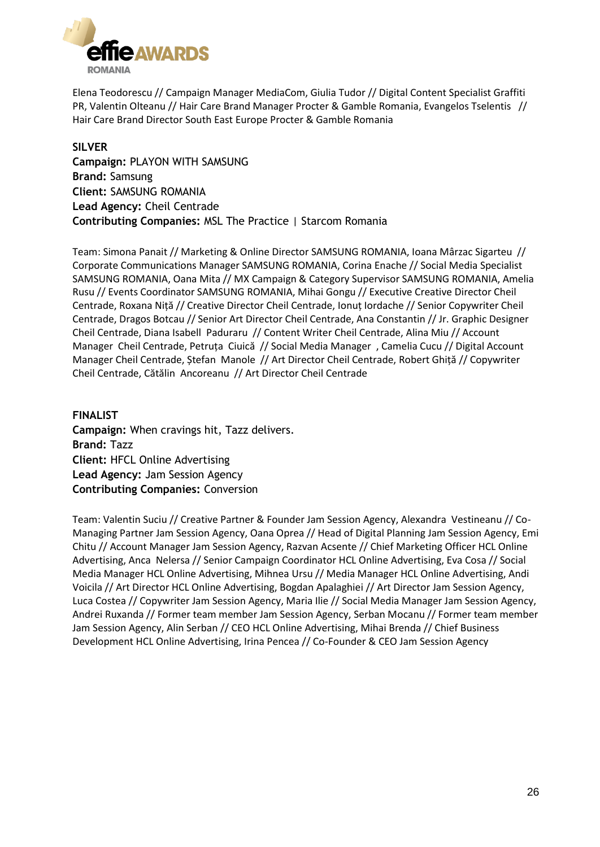

Elena Teodorescu // Campaign Manager MediaCom, Giulia Tudor // Digital Content Specialist Graffiti PR, Valentin Olteanu // Hair Care Brand Manager Procter & Gamble Romania, Evangelos Tselentis // Hair Care Brand Director South East Europe Procter & Gamble Romania

**SILVER Campaign:** PLAYON WITH SAMSUNG **Brand:** Samsung **Client:** SAMSUNG ROMANIA **Lead Agency:** Cheil Centrade **Contributing Companies:** MSL The Practice | Starcom Romania

Team: Simona Panait // Marketing & Online Director SAMSUNG ROMANIA, Ioana Mârzac Sigarteu // Corporate Communications Manager SAMSUNG ROMANIA, Corina Enache // Social Media Specialist SAMSUNG ROMANIA, Oana Mita // MX Campaign & Category Supervisor SAMSUNG ROMANIA, Amelia Rusu // Events Coordinator SAMSUNG ROMANIA, Mihai Gongu // Executive Creative Director Cheil Centrade, Roxana Niță // Creative Director Cheil Centrade, Ionuț Iordache // Senior Copywriter Cheil Centrade, Dragos Botcau // Senior Art Director Cheil Centrade, Ana Constantin // Jr. Graphic Designer Cheil Centrade, Diana Isabell Paduraru // Content Writer Cheil Centrade, Alina Miu // Account Manager Cheil Centrade, Petruța Ciuică // Social Media Manager , Camelia Cucu // Digital Account Manager Cheil Centrade, Ștefan Manole // Art Director Cheil Centrade, Robert Ghiță // Copywriter Cheil Centrade, Cătălin Ancoreanu // Art Director Cheil Centrade

**FINALIST Campaign:** When cravings hit, Tazz delivers. **Brand:** Tazz **Client:** HFCL Online Advertising **Lead Agency:** Jam Session Agency **Contributing Companies:** Conversion

Team: Valentin Suciu // Creative Partner & Founder Jam Session Agency, Alexandra Vestineanu // Co-Managing Partner Jam Session Agency, Oana Oprea // Head of Digital Planning Jam Session Agency, Emi Chitu // Account Manager Jam Session Agency, Razvan Acsente // Chief Marketing Officer HCL Online Advertising, Anca Nelersa // Senior Campaign Coordinator HCL Online Advertising, Eva Cosa // Social Media Manager HCL Online Advertising, Mihnea Ursu // Media Manager HCL Online Advertising, Andi Voicila // Art Director HCL Online Advertising, Bogdan Apalaghiei // Art Director Jam Session Agency, Luca Costea // Copywriter Jam Session Agency, Maria Ilie // Social Media Manager Jam Session Agency, Andrei Ruxanda // Former team member Jam Session Agency, Serban Mocanu // Former team member Jam Session Agency, Alin Serban // CEO HCL Online Advertising, Mihai Brenda // Chief Business Development HCL Online Advertising, Irina Pencea // Co-Founder & CEO Jam Session Agency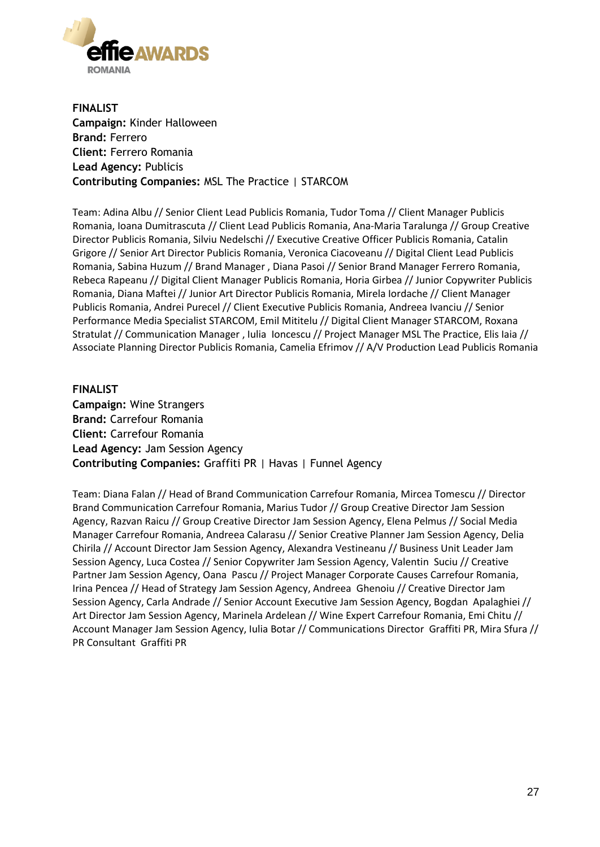

**FINALIST Campaign:** Kinder Halloween **Brand:** Ferrero **Client:** Ferrero Romania **Lead Agency:** Publicis **Contributing Companies:** MSL The Practice | STARCOM

Team: Adina Albu // Senior Client Lead Publicis Romania, Tudor Toma // Client Manager Publicis Romania, Ioana Dumitrascuta // Client Lead Publicis Romania, Ana-Maria Taralunga // Group Creative Director Publicis Romania, Silviu Nedelschi // Executive Creative Officer Publicis Romania, Catalin Grigore // Senior Art Director Publicis Romania, Veronica Ciacoveanu // Digital Client Lead Publicis Romania, Sabina Huzum // Brand Manager , Diana Pasoi // Senior Brand Manager Ferrero Romania, Rebeca Rapeanu // Digital Client Manager Publicis Romania, Horia Girbea // Junior Copywriter Publicis Romania, Diana Maftei // Junior Art Director Publicis Romania, Mirela Iordache // Client Manager Publicis Romania, Andrei Purecel // Client Executive Publicis Romania, Andreea Ivanciu // Senior Performance Media Specialist STARCOM, Emil Mititelu // Digital Client Manager STARCOM, Roxana Stratulat // Communication Manager , Iulia Ioncescu // Project Manager MSL The Practice, Elis Iaia // Associate Planning Director Publicis Romania, Camelia Efrimov // A/V Production Lead Publicis Romania

#### **FINALIST Campaign:** Wine Strangers **Brand:** Carrefour Romania **Client:** Carrefour Romania **Lead Agency:** Jam Session Agency **Contributing Companies:** Graffiti PR | Havas | Funnel Agency

Team: Diana Falan // Head of Brand Communication Carrefour Romania, Mircea Tomescu // Director Brand Communication Carrefour Romania, Marius Tudor // Group Creative Director Jam Session Agency, Razvan Raicu // Group Creative Director Jam Session Agency, Elena Pelmus // Social Media Manager Carrefour Romania, Andreea Calarasu // Senior Creative Planner Jam Session Agency, Delia Chirila // Account Director Jam Session Agency, Alexandra Vestineanu // Business Unit Leader Jam Session Agency, Luca Costea // Senior Copywriter Jam Session Agency, Valentin Suciu // Creative Partner Jam Session Agency, Oana Pascu // Project Manager Corporate Causes Carrefour Romania, Irina Pencea // Head of Strategy Jam Session Agency, Andreea Ghenoiu // Creative Director Jam Session Agency, Carla Andrade // Senior Account Executive Jam Session Agency, Bogdan Apalaghiei // Art Director Jam Session Agency, Marinela Ardelean // Wine Expert Carrefour Romania, Emi Chitu // Account Manager Jam Session Agency, Iulia Botar // Communications Director Graffiti PR, Mira Sfura // PR Consultant Graffiti PR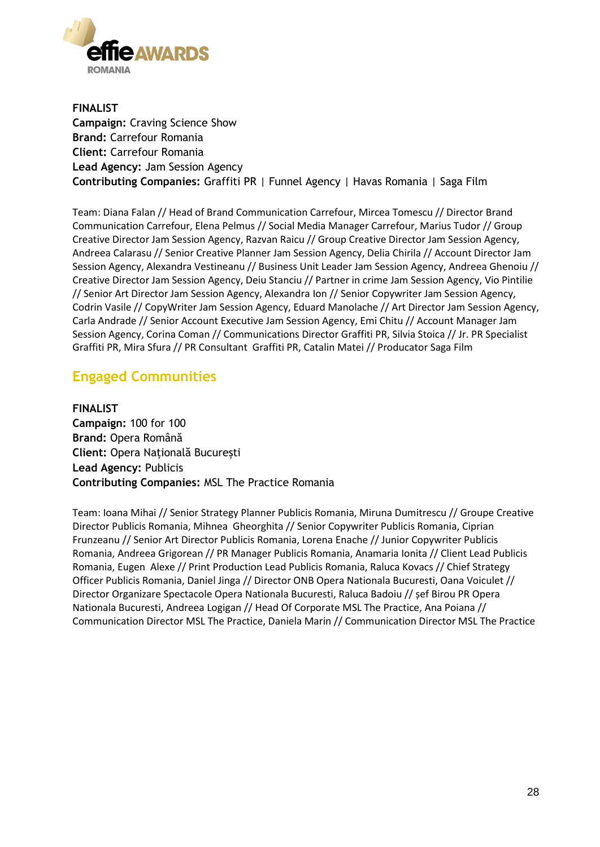

**FINALIST Campaign:** Craving Science Show **Brand:** Carrefour Romania **Client:** Carrefour Romania **Lead Agency:** Jam Session Agency **Contributing Companies:** Graffiti PR | Funnel Agency | Havas Romania | Saga Film

Team: Diana Falan // Head of Brand Communication Carrefour, Mircea Tomescu // Director Brand Communication Carrefour, Elena Pelmus // Social Media Manager Carrefour, Marius Tudor // Group Creative Director Jam Session Agency, Razvan Raicu // Group Creative Director Jam Session Agency, Andreea Calarasu // Senior Creative Planner Jam Session Agency, Delia Chirila // Account Director Jam Session Agency, Alexandra Vestineanu // Business Unit Leader Jam Session Agency, Andreea Ghenoiu // Creative Director Jam Session Agency, Deiu Stanciu // Partner in crime Jam Session Agency, Vio Pintilie // Senior Art Director Jam Session Agency, Alexandra Ion // Senior Copywriter Jam Session Agency, Codrin Vasile // CopyWriter Jam Session Agency, Eduard Manolache // Art Director Jam Session Agency, Carla Andrade // Senior Account Executive Jam Session Agency, Emi Chitu // Account Manager Jam Session Agency, Corina Coman // Communications Director Graffiti PR, Silvia Stoica // Jr. PR Specialist Graffiti PR, Mira Sfura // PR Consultant Graffiti PR, Catalin Matei // Producator Saga Film

### **Engaged Communities**

**FINALIST Campaign:** 100 for 100 **Brand:** Opera Română **Client:** Opera Națională București **Lead Agency:** Publicis **Contributing Companies:** MSL The Practice Romania

Team: Ioana Mihai // Senior Strategy Planner Publicis Romania, Miruna Dumitrescu // Groupe Creative Director Publicis Romania, Mihnea Gheorghita // Senior Copywriter Publicis Romania, Ciprian Frunzeanu // Senior Art Director Publicis Romania, Lorena Enache // Junior Copywriter Publicis Romania, Andreea Grigorean // PR Manager Publicis Romania, Anamaria Ionita // Client Lead Publicis Romania, Eugen Alexe // Print Production Lead Publicis Romania, Raluca Kovacs // Chief Strategy Officer Publicis Romania, Daniel Jinga // Director ONB Opera Nationala Bucuresti, Oana Voiculet // Director Organizare Spectacole Opera Nationala Bucuresti, Raluca Badoiu // șef Birou PR Opera Nationala Bucuresti, Andreea Logigan // Head Of Corporate MSL The Practice, Ana Poiana // Communication Director MSL The Practice, Daniela Marin // Communication Director MSL The Practice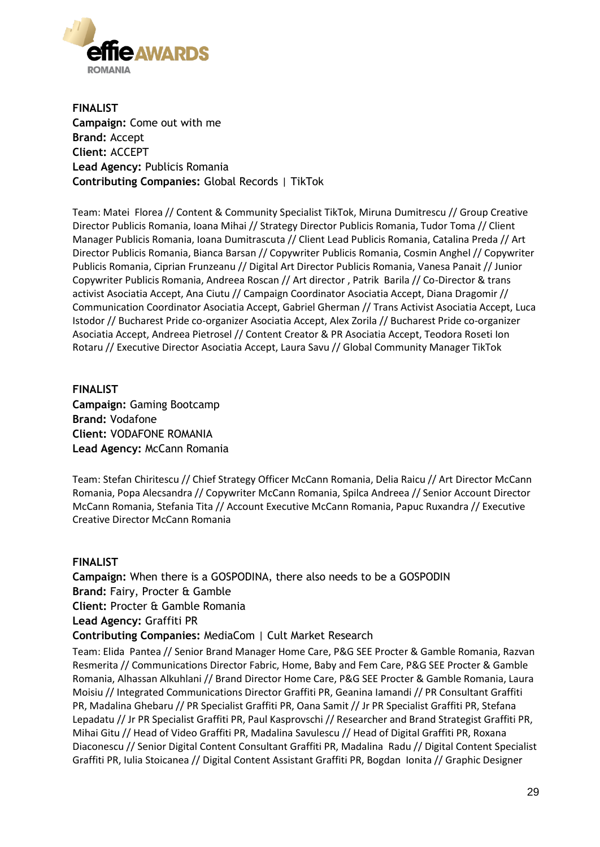

**FINALIST Campaign:** Come out with me **Brand:** Accept **Client:** ACCEPT **Lead Agency:** Publicis Romania **Contributing Companies:** Global Records | TikTok

Team: Matei Florea // Content & Community Specialist TikTok, Miruna Dumitrescu // Group Creative Director Publicis Romania, Ioana Mihai // Strategy Director Publicis Romania, Tudor Toma // Client Manager Publicis Romania, Ioana Dumitrascuta // Client Lead Publicis Romania, Catalina Preda // Art Director Publicis Romania, Bianca Barsan // Copywriter Publicis Romania, Cosmin Anghel // Copywriter Publicis Romania, Ciprian Frunzeanu // Digital Art Director Publicis Romania, Vanesa Panait // Junior Copywriter Publicis Romania, Andreea Roscan // Art director , Patrik Barila // Co-Director & trans activist Asociatia Accept, Ana Ciutu // Campaign Coordinator Asociatia Accept, Diana Dragomir // Communication Coordinator Asociatia Accept, Gabriel Gherman // Trans Activist Asociatia Accept, Luca Istodor // Bucharest Pride co-organizer Asociatia Accept, Alex Zorila // Bucharest Pride co-organizer Asociatia Accept, Andreea Pietrosel // Content Creator & PR Asociatia Accept, Teodora Roseti Ion Rotaru // Executive Director Asociatia Accept, Laura Savu // Global Community Manager TikTok

**FINALIST Campaign:** Gaming Bootcamp **Brand:** Vodafone **Client:** VODAFONE ROMANIA **Lead Agency:** McCann Romania

Team: Stefan Chiritescu // Chief Strategy Officer McCann Romania, Delia Raicu // Art Director McCann Romania, Popa Alecsandra // Copywriter McCann Romania, Spilca Andreea // Senior Account Director McCann Romania, Stefania Tita // Account Executive McCann Romania, Papuc Ruxandra // Executive Creative Director McCann Romania

#### **FINALIST**

**Campaign:** When there is a GOSPODINA, there also needs to be a GOSPODIN **Brand:** Fairy, Procter & Gamble **Client:** Procter & Gamble Romania **Lead Agency:** Graffiti PR **Contributing Companies:** MediaCom | Cult Market Research

Team: Elida Pantea // Senior Brand Manager Home Care, P&G SEE Procter & Gamble Romania, Razvan Resmerita // Communications Director Fabric, Home, Baby and Fem Care, P&G SEE Procter & Gamble Romania, Alhassan Alkuhlani // Brand Director Home Care, P&G SEE Procter & Gamble Romania, Laura Moisiu // Integrated Communications Director Graffiti PR, Geanina Iamandi // PR Consultant Graffiti PR, Madalina Ghebaru // PR Specialist Graffiti PR, Oana Samit // Jr PR Specialist Graffiti PR, Stefana Lepadatu // Jr PR Specialist Graffiti PR, Paul Kasprovschi // Researcher and Brand Strategist Graffiti PR, Mihai Gitu // Head of Video Graffiti PR, Madalina Savulescu // Head of Digital Graffiti PR, Roxana Diaconescu // Senior Digital Content Consultant Graffiti PR, Madalina Radu // Digital Content Specialist Graffiti PR, Iulia Stoicanea // Digital Content Assistant Graffiti PR, Bogdan Ionita // Graphic Designer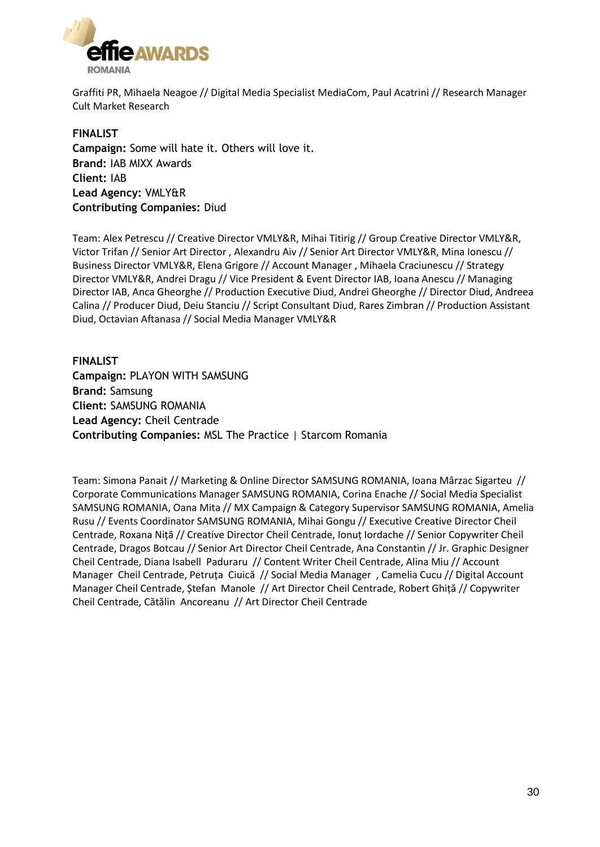

Graffiti PR, Mihaela Neagoe // Digital Media Specialist MediaCom, Paul Acatrini // Research Manager Cult Market Research

**FINALIST Campaign:** Some will hate it. Others will love it. **Brand:** IAB MIXX Awards **Client:** IAB **Lead Agency:** VMLY&R **Contributing Companies:** Diud

Team: Alex Petrescu // Creative Director VMLY&R, Mihai Titirig // Group Creative Director VMLY&R, Victor Trifan // Senior Art Director , Alexandru Aiv // Senior Art Director VMLY&R, Mina Ionescu // Business Director VMLY&R, Elena Grigore // Account Manager , Mihaela Craciunescu // Strategy Director VMLY&R, Andrei Dragu // Vice President & Event Director IAB, Ioana Anescu // Managing Director IAB, Anca Gheorghe // Production Executive Diud, Andrei Gheorghe // Director Diud, Andreea Calina // Producer Diud, Deiu Stanciu // Script Consultant Diud, Rares Zimbran // Production Assistant Diud, Octavian Aftanasa // Social Media Manager VMLY&R

**FINALIST Campaign:** PLAYON WITH SAMSUNG **Brand:** Samsung **Client:** SAMSUNG ROMANIA **Lead Agency:** Cheil Centrade **Contributing Companies:** MSL The Practice | Starcom Romania

Team: Simona Panait // Marketing & Online Director SAMSUNG ROMANIA, Ioana Mârzac Sigarteu // Corporate Communications Manager SAMSUNG ROMANIA, Corina Enache // Social Media Specialist SAMSUNG ROMANIA, Oana Mita // MX Campaign & Category Supervisor SAMSUNG ROMANIA, Amelia Rusu // Events Coordinator SAMSUNG ROMANIA, Mihai Gongu // Executive Creative Director Cheil Centrade, Roxana Niță // Creative Director Cheil Centrade, Ionuț Iordache // Senior Copywriter Cheil Centrade, Dragos Botcau // Senior Art Director Cheil Centrade, Ana Constantin // Jr. Graphic Designer Cheil Centrade, Diana Isabell Paduraru // Content Writer Cheil Centrade, Alina Miu // Account Manager Cheil Centrade, Petruța Ciuică // Social Media Manager , Camelia Cucu // Digital Account Manager Cheil Centrade, Ștefan Manole // Art Director Cheil Centrade, Robert Ghiță // Copywriter Cheil Centrade, Cătălin Ancoreanu // Art Director Cheil Centrade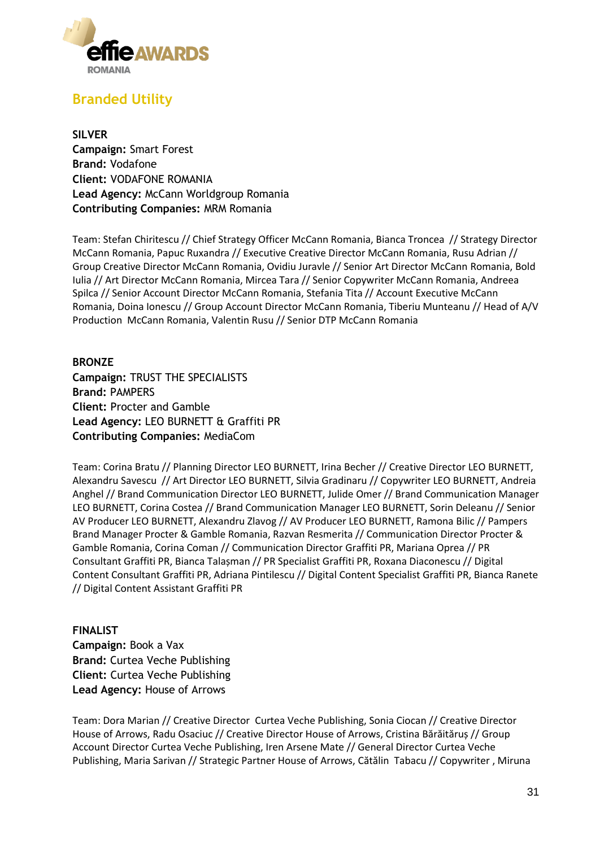

# **Branded Utility**

**SILVER Campaign:** Smart Forest **Brand:** Vodafone **Client:** VODAFONE ROMANIA **Lead Agency:** McCann Worldgroup Romania **Contributing Companies:** MRM Romania

Team: Stefan Chiritescu // Chief Strategy Officer McCann Romania, Bianca Troncea // Strategy Director McCann Romania, Papuc Ruxandra // Executive Creative Director McCann Romania, Rusu Adrian // Group Creative Director McCann Romania, Ovidiu Juravle // Senior Art Director McCann Romania, Bold Iulia // Art Director McCann Romania, Mircea Tara // Senior Copywriter McCann Romania, Andreea Spilca // Senior Account Director McCann Romania, Stefania Tita // Account Executive McCann Romania, Doina Ionescu // Group Account Director McCann Romania, Tiberiu Munteanu // Head of A/V Production McCann Romania, Valentin Rusu // Senior DTP McCann Romania

**BRONZE Campaign:** TRUST THE SPECIALISTS **Brand:** PAMPERS **Client:** Procter and Gamble **Lead Agency:** LEO BURNETT & Graffiti PR **Contributing Companies:** MediaCom

Team: Corina Bratu // Planning Director LEO BURNETT, Irina Becher // Creative Director LEO BURNETT, Alexandru Savescu // Art Director LEO BURNETT, Silvia Gradinaru // Copywriter LEO BURNETT, Andreia Anghel // Brand Communication Director LEO BURNETT, Julide Omer // Brand Communication Manager LEO BURNETT, Corina Costea // Brand Communication Manager LEO BURNETT, Sorin Deleanu // Senior AV Producer LEO BURNETT, Alexandru Zlavog // AV Producer LEO BURNETT, Ramona Bilic // Pampers Brand Manager Procter & Gamble Romania, Razvan Resmerita // Communication Director Procter & Gamble Romania, Corina Coman // Communication Director Graffiti PR, Mariana Oprea // PR Consultant Graffiti PR, Bianca Talașman // PR Specialist Graffiti PR, Roxana Diaconescu // Digital Content Consultant Graffiti PR, Adriana Pintilescu // Digital Content Specialist Graffiti PR, Bianca Ranete // Digital Content Assistant Graffiti PR

#### **FINALIST**

**Campaign:** Book a Vax **Brand:** Curtea Veche Publishing **Client:** Curtea Veche Publishing **Lead Agency:** House of Arrows

Team: Dora Marian // Creative Director Curtea Veche Publishing, Sonia Ciocan // Creative Director House of Arrows, Radu Osaciuc // Creative Director House of Arrows, Cristina Bărăităruș // Group Account Director Curtea Veche Publishing, Iren Arsene Mate // General Director Curtea Veche Publishing, Maria Sarivan // Strategic Partner House of Arrows, Cătălin Tabacu // Copywriter , Miruna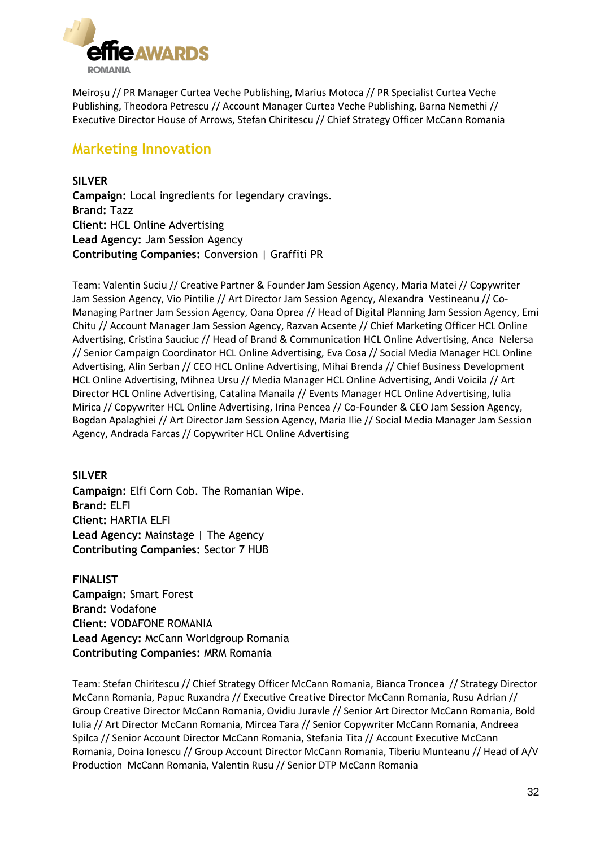

Meiroșu // PR Manager Curtea Veche Publishing, Marius Motoca // PR Specialist Curtea Veche Publishing, Theodora Petrescu // Account Manager Curtea Veche Publishing, Barna Nemethi // Executive Director House of Arrows, Stefan Chiritescu // Chief Strategy Officer McCann Romania

### **Marketing Innovation**

**SILVER Campaign:** Local ingredients for legendary cravings. **Brand:** Tazz **Client:** HCL Online Advertising **Lead Agency:** Jam Session Agency **Contributing Companies:** Conversion | Graffiti PR

Team: Valentin Suciu // Creative Partner & Founder Jam Session Agency, Maria Matei // Copywriter Jam Session Agency, Vio Pintilie // Art Director Jam Session Agency, Alexandra Vestineanu // Co-Managing Partner Jam Session Agency, Oana Oprea // Head of Digital Planning Jam Session Agency, Emi Chitu // Account Manager Jam Session Agency, Razvan Acsente // Chief Marketing Officer HCL Online Advertising, Cristina Sauciuc // Head of Brand & Communication HCL Online Advertising, Anca Nelersa // Senior Campaign Coordinator HCL Online Advertising, Eva Cosa // Social Media Manager HCL Online Advertising, Alin Serban // CEO HCL Online Advertising, Mihai Brenda // Chief Business Development HCL Online Advertising, Mihnea Ursu // Media Manager HCL Online Advertising, Andi Voicila // Art Director HCL Online Advertising, Catalina Manaila // Events Manager HCL Online Advertising, Iulia Mirica // Copywriter HCL Online Advertising, Irina Pencea // Co-Founder & CEO Jam Session Agency, Bogdan Apalaghiei // Art Director Jam Session Agency, Maria Ilie // Social Media Manager Jam Session Agency, Andrada Farcas // Copywriter HCL Online Advertising

#### **SILVER**

**Campaign:** Elfi Corn Cob. The Romanian Wipe. **Brand:** ELFI **Client:** HARTIA ELFI **Lead Agency:** Mainstage | The Agency **Contributing Companies:** Sector 7 HUB

**FINALIST Campaign:** Smart Forest **Brand:** Vodafone **Client:** VODAFONE ROMANIA **Lead Agency:** McCann Worldgroup Romania **Contributing Companies:** MRM Romania

Team: Stefan Chiritescu // Chief Strategy Officer McCann Romania, Bianca Troncea // Strategy Director McCann Romania, Papuc Ruxandra // Executive Creative Director McCann Romania, Rusu Adrian // Group Creative Director McCann Romania, Ovidiu Juravle // Senior Art Director McCann Romania, Bold Iulia // Art Director McCann Romania, Mircea Tara // Senior Copywriter McCann Romania, Andreea Spilca // Senior Account Director McCann Romania, Stefania Tita // Account Executive McCann Romania, Doina Ionescu // Group Account Director McCann Romania, Tiberiu Munteanu // Head of A/V Production McCann Romania, Valentin Rusu // Senior DTP McCann Romania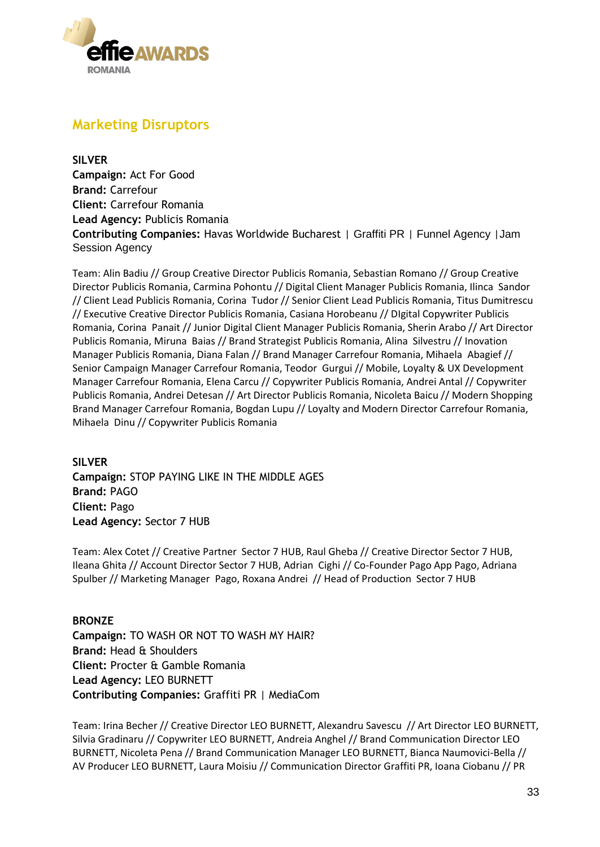

### **Marketing Disruptors**

**SILVER Campaign:** Act For Good **Brand:** Carrefour **Client:** Carrefour Romania **Lead Agency:** Publicis Romania **Contributing Companies:** Havas Worldwide Bucharest | Graffiti PR | Funnel Agency |Jam Session Agency

Team: Alin Badiu // Group Creative Director Publicis Romania, Sebastian Romano // Group Creative Director Publicis Romania, Carmina Pohontu // Digital Client Manager Publicis Romania, Ilinca Sandor // Client Lead Publicis Romania, Corina Tudor // Senior Client Lead Publicis Romania, Titus Dumitrescu // Executive Creative Director Publicis Romania, Casiana Horobeanu // DIgital Copywriter Publicis Romania, Corina Panait // Junior Digital Client Manager Publicis Romania, Sherin Arabo // Art Director Publicis Romania, Miruna Baias // Brand Strategist Publicis Romania, Alina Silvestru // Inovation Manager Publicis Romania, Diana Falan // Brand Manager Carrefour Romania, Mihaela Abagief // Senior Campaign Manager Carrefour Romania, Teodor Gurgui // Mobile, Loyalty & UX Development Manager Carrefour Romania, Elena Carcu // Copywriter Publicis Romania, Andrei Antal // Copywriter Publicis Romania, Andrei Detesan // Art Director Publicis Romania, Nicoleta Baicu // Modern Shopping Brand Manager Carrefour Romania, Bogdan Lupu // Loyalty and Modern Director Carrefour Romania, Mihaela Dinu // Copywriter Publicis Romania

**SILVER Campaign:** STOP PAYING LIKE IN THE MIDDLE AGES **Brand:** PAGO **Client:** Pago **Lead Agency:** Sector 7 HUB

Team: Alex Cotet // Creative Partner Sector 7 HUB, Raul Gheba // Creative Director Sector 7 HUB, Ileana Ghita // Account Director Sector 7 HUB, Adrian Cighi // Co-Founder Pago App Pago, Adriana Spulber // Marketing Manager Pago, Roxana Andrei // Head of Production Sector 7 HUB

#### **BRONZE**

**Campaign:** TO WASH OR NOT TO WASH MY HAIR? **Brand:** Head & Shoulders **Client:** Procter & Gamble Romania **Lead Agency:** LEO BURNETT **Contributing Companies:** Graffiti PR | MediaCom

Team: Irina Becher // Creative Director LEO BURNETT, Alexandru Savescu // Art Director LEO BURNETT, Silvia Gradinaru // Copywriter LEO BURNETT, Andreia Anghel // Brand Communication Director LEO BURNETT, Nicoleta Pena // Brand Communication Manager LEO BURNETT, Bianca Naumovici-Bella // AV Producer LEO BURNETT, Laura Moisiu // Communication Director Graffiti PR, Ioana Ciobanu // PR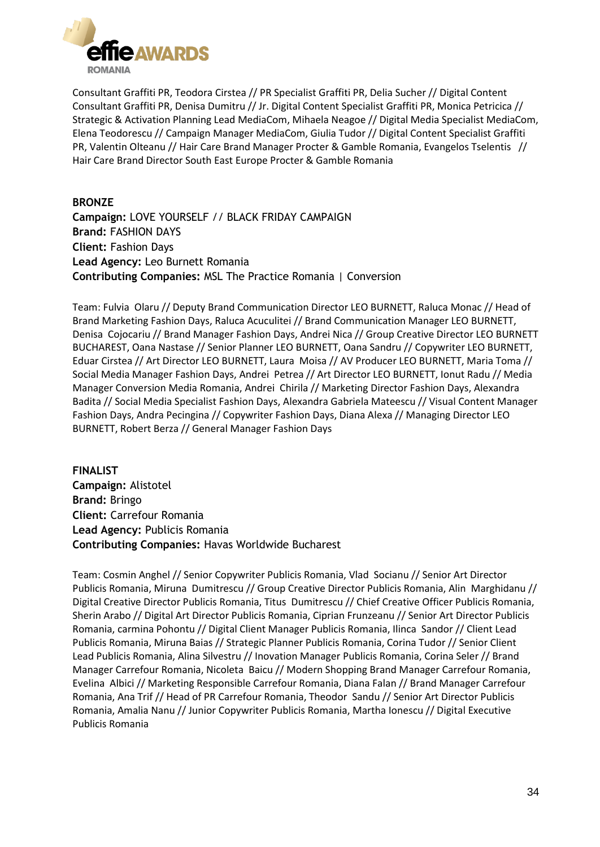

Consultant Graffiti PR, Teodora Cirstea // PR Specialist Graffiti PR, Delia Sucher // Digital Content Consultant Graffiti PR, Denisa Dumitru // Jr. Digital Content Specialist Graffiti PR, Monica Petricica // Strategic & Activation Planning Lead MediaCom, Mihaela Neagoe // Digital Media Specialist MediaCom, Elena Teodorescu // Campaign Manager MediaCom, Giulia Tudor // Digital Content Specialist Graffiti PR, Valentin Olteanu // Hair Care Brand Manager Procter & Gamble Romania, Evangelos Tselentis // Hair Care Brand Director South East Europe Procter & Gamble Romania

#### **BRONZE**

**Campaign:** LOVE YOURSELF // BLACK FRIDAY CAMPAIGN **Brand:** FASHION DAYS **Client:** Fashion Days **Lead Agency:** Leo Burnett Romania **Contributing Companies:** MSL The Practice Romania | Conversion

Team: Fulvia Olaru // Deputy Brand Communication Director LEO BURNETT, Raluca Monac // Head of Brand Marketing Fashion Days, Raluca Acuculitei // Brand Communication Manager LEO BURNETT, Denisa Cojocariu // Brand Manager Fashion Days, Andrei Nica // Group Creative Director LEO BURNETT BUCHAREST, Oana Nastase // Senior Planner LEO BURNETT, Oana Sandru // Copywriter LEO BURNETT, Eduar Cirstea // Art Director LEO BURNETT, Laura Moisa // AV Producer LEO BURNETT, Maria Toma // Social Media Manager Fashion Days, Andrei Petrea // Art Director LEO BURNETT, Ionut Radu // Media Manager Conversion Media Romania, Andrei Chirila // Marketing Director Fashion Days, Alexandra Badita // Social Media Specialist Fashion Days, Alexandra Gabriela Mateescu // Visual Content Manager Fashion Days, Andra Pecingina // Copywriter Fashion Days, Diana Alexa // Managing Director LEO BURNETT, Robert Berza // General Manager Fashion Days

**FINALIST Campaign:** Alistotel **Brand:** Bringo **Client:** Carrefour Romania **Lead Agency:** Publicis Romania **Contributing Companies:** Havas Worldwide Bucharest

Team: Cosmin Anghel // Senior Copywriter Publicis Romania, Vlad Socianu // Senior Art Director Publicis Romania, Miruna Dumitrescu // Group Creative Director Publicis Romania, Alin Marghidanu // Digital Creative Director Publicis Romania, Titus Dumitrescu // Chief Creative Officer Publicis Romania, Sherin Arabo // Digital Art Director Publicis Romania, Ciprian Frunzeanu // Senior Art Director Publicis Romania, carmina Pohontu // Digital Client Manager Publicis Romania, Ilinca Sandor // Client Lead Publicis Romania, Miruna Baias // Strategic Planner Publicis Romania, Corina Tudor // Senior Client Lead Publicis Romania, Alina Silvestru // Inovation Manager Publicis Romania, Corina Seler // Brand Manager Carrefour Romania, Nicoleta Baicu // Modern Shopping Brand Manager Carrefour Romania, Evelina Albici // Marketing Responsible Carrefour Romania, Diana Falan // Brand Manager Carrefour Romania, Ana Trif // Head of PR Carrefour Romania, Theodor Sandu // Senior Art Director Publicis Romania, Amalia Nanu // Junior Copywriter Publicis Romania, Martha Ionescu // Digital Executive Publicis Romania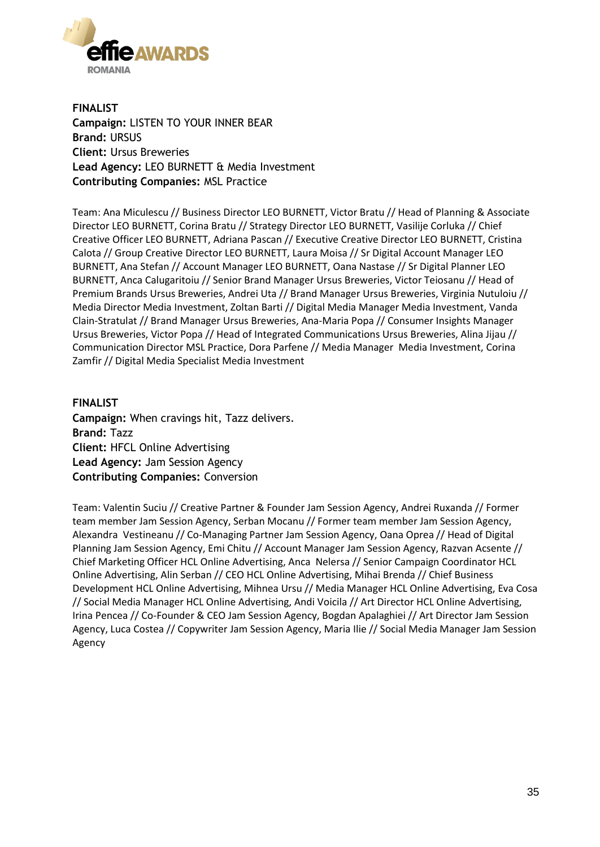

**FINALIST Campaign:** LISTEN TO YOUR INNER BEAR **Brand:** URSUS **Client:** Ursus Breweries **Lead Agency:** LEO BURNETT & Media Investment **Contributing Companies:** MSL Practice

Team: Ana Miculescu // Business Director LEO BURNETT, Victor Bratu // Head of Planning & Associate Director LEO BURNETT, Corina Bratu // Strategy Director LEO BURNETT, Vasilije Corluka // Chief Creative Officer LEO BURNETT, Adriana Pascan // Executive Creative Director LEO BURNETT, Cristina Calota // Group Creative Director LEO BURNETT, Laura Moisa // Sr Digital Account Manager LEO BURNETT, Ana Stefan // Account Manager LEO BURNETT, Oana Nastase // Sr Digital Planner LEO BURNETT, Anca Calugaritoiu // Senior Brand Manager Ursus Breweries, Victor Teiosanu // Head of Premium Brands Ursus Breweries, Andrei Uta // Brand Manager Ursus Breweries, Virginia Nutuloiu // Media Director Media Investment, Zoltan Barti // Digital Media Manager Media Investment, Vanda Clain-Stratulat // Brand Manager Ursus Breweries, Ana-Maria Popa // Consumer Insights Manager Ursus Breweries, Victor Popa // Head of Integrated Communications Ursus Breweries, Alina Jijau // Communication Director MSL Practice, Dora Parfene // Media Manager Media Investment, Corina Zamfir // Digital Media Specialist Media Investment

**FINALIST Campaign:** When cravings hit, Tazz delivers. **Brand:** Tazz **Client:** HFCL Online Advertising **Lead Agency:** Jam Session Agency **Contributing Companies:** Conversion

Team: Valentin Suciu // Creative Partner & Founder Jam Session Agency, Andrei Ruxanda // Former team member Jam Session Agency, Serban Mocanu // Former team member Jam Session Agency, Alexandra Vestineanu // Co-Managing Partner Jam Session Agency, Oana Oprea // Head of Digital Planning Jam Session Agency, Emi Chitu // Account Manager Jam Session Agency, Razvan Acsente // Chief Marketing Officer HCL Online Advertising, Anca Nelersa // Senior Campaign Coordinator HCL Online Advertising, Alin Serban // CEO HCL Online Advertising, Mihai Brenda // Chief Business Development HCL Online Advertising, Mihnea Ursu // Media Manager HCL Online Advertising, Eva Cosa // Social Media Manager HCL Online Advertising, Andi Voicila // Art Director HCL Online Advertising, Irina Pencea // Co-Founder & CEO Jam Session Agency, Bogdan Apalaghiei // Art Director Jam Session Agency, Luca Costea // Copywriter Jam Session Agency, Maria Ilie // Social Media Manager Jam Session Agency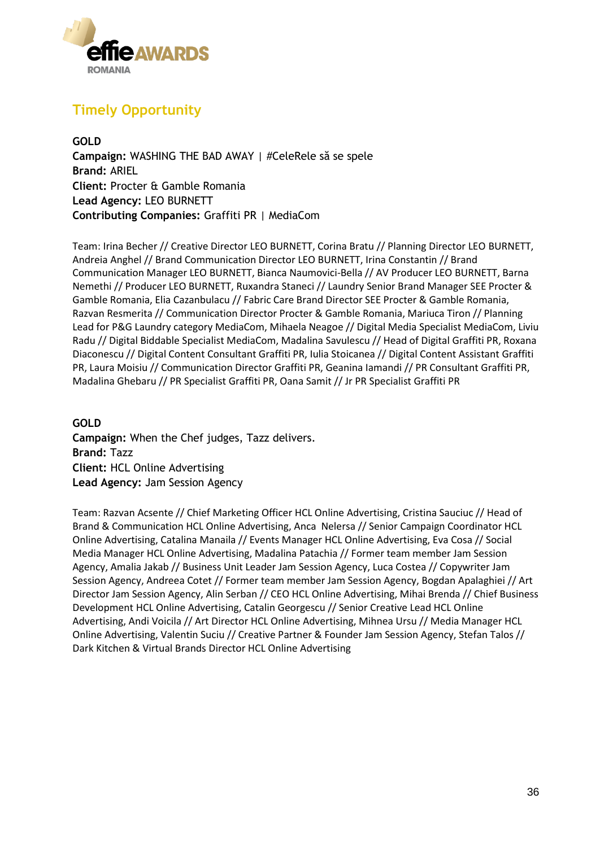

# **Timely Opportunity**

**GOLD Campaign:** WASHING THE BAD AWAY | #CeleRele să se spele **Brand:** ARIEL **Client:** Procter & Gamble Romania **Lead Agency:** LEO BURNETT **Contributing Companies:** Graffiti PR | MediaCom

Team: Irina Becher // Creative Director LEO BURNETT, Corina Bratu // Planning Director LEO BURNETT, Andreia Anghel // Brand Communication Director LEO BURNETT, Irina Constantin // Brand Communication Manager LEO BURNETT, Bianca Naumovici-Bella // AV Producer LEO BURNETT, Barna Nemethi // Producer LEO BURNETT, Ruxandra Staneci // Laundry Senior Brand Manager SEE Procter & Gamble Romania, Elia Cazanbulacu // Fabric Care Brand Director SEE Procter & Gamble Romania, Razvan Resmerita // Communication Director Procter & Gamble Romania, Mariuca Tiron // Planning Lead for P&G Laundry category MediaCom, Mihaela Neagoe // Digital Media Specialist MediaCom, Liviu Radu // Digital Biddable Specialist MediaCom, Madalina Savulescu // Head of Digital Graffiti PR, Roxana Diaconescu // Digital Content Consultant Graffiti PR, Iulia Stoicanea // Digital Content Assistant Graffiti PR, Laura Moisiu // Communication Director Graffiti PR, Geanina Iamandi // PR Consultant Graffiti PR, Madalina Ghebaru // PR Specialist Graffiti PR, Oana Samit // Jr PR Specialist Graffiti PR

**GOLD Campaign:** When the Chef judges, Tazz delivers. **Brand:** Tazz **Client:** HCL Online Advertising **Lead Agency:** Jam Session Agency

Team: Razvan Acsente // Chief Marketing Officer HCL Online Advertising, Cristina Sauciuc // Head of Brand & Communication HCL Online Advertising, Anca Nelersa // Senior Campaign Coordinator HCL Online Advertising, Catalina Manaila // Events Manager HCL Online Advertising, Eva Cosa // Social Media Manager HCL Online Advertising, Madalina Patachia // Former team member Jam Session Agency, Amalia Jakab // Business Unit Leader Jam Session Agency, Luca Costea // Copywriter Jam Session Agency, Andreea Cotet // Former team member Jam Session Agency, Bogdan Apalaghiei // Art Director Jam Session Agency, Alin Serban // CEO HCL Online Advertising, Mihai Brenda // Chief Business Development HCL Online Advertising, Catalin Georgescu // Senior Creative Lead HCL Online Advertising, Andi Voicila // Art Director HCL Online Advertising, Mihnea Ursu // Media Manager HCL Online Advertising, Valentin Suciu // Creative Partner & Founder Jam Session Agency, Stefan Talos // Dark Kitchen & Virtual Brands Director HCL Online Advertising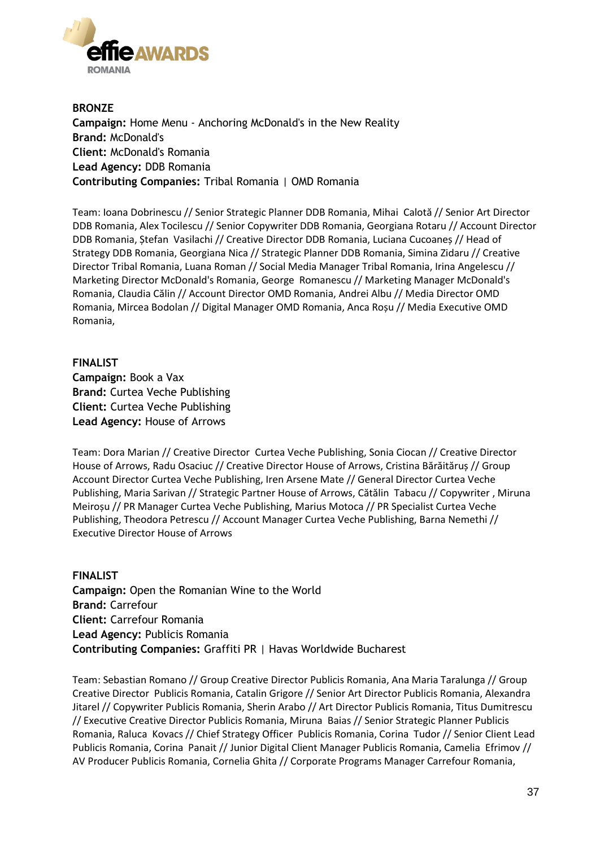

**BRONZE Campaign:** Home Menu - Anchoring McDonald's in the New Reality **Brand:** McDonald's **Client:** McDonald's Romania **Lead Agency:** DDB Romania **Contributing Companies:** Tribal Romania | OMD Romania

Team: Ioana Dobrinescu // Senior Strategic Planner DDB Romania, Mihai Calotă // Senior Art Director DDB Romania, Alex Tocilescu // Senior Copywriter DDB Romania, Georgiana Rotaru // Account Director DDB Romania, Ștefan Vasilachi // Creative Director DDB Romania, Luciana Cucoaneș // Head of Strategy DDB Romania, Georgiana Nica // Strategic Planner DDB Romania, Simina Zidaru // Creative Director Tribal Romania, Luana Roman // Social Media Manager Tribal Romania, Irina Angelescu // Marketing Director McDonald's Romania, George Romanescu // Marketing Manager McDonald's Romania, Claudia Călin // Account Director OMD Romania, Andrei Albu // Media Director OMD Romania, Mircea Bodolan // Digital Manager OMD Romania, Anca Roșu // Media Executive OMD Romania,

**FINALIST Campaign:** Book a Vax **Brand:** Curtea Veche Publishing **Client:** Curtea Veche Publishing **Lead Agency:** House of Arrows

Team: Dora Marian // Creative Director Curtea Veche Publishing, Sonia Ciocan // Creative Director House of Arrows, Radu Osaciuc // Creative Director House of Arrows, Cristina Bărăităruș // Group Account Director Curtea Veche Publishing, Iren Arsene Mate // General Director Curtea Veche Publishing, Maria Sarivan // Strategic Partner House of Arrows, Cătălin Tabacu // Copywriter , Miruna Meiroșu // PR Manager Curtea Veche Publishing, Marius Motoca // PR Specialist Curtea Veche Publishing, Theodora Petrescu // Account Manager Curtea Veche Publishing, Barna Nemethi // Executive Director House of Arrows

**FINALIST Campaign:** Open the Romanian Wine to the World **Brand:** Carrefour **Client:** Carrefour Romania **Lead Agency:** Publicis Romania **Contributing Companies:** Graffiti PR | Havas Worldwide Bucharest

Team: Sebastian Romano // Group Creative Director Publicis Romania, Ana Maria Taralunga // Group Creative Director Publicis Romania, Catalin Grigore // Senior Art Director Publicis Romania, Alexandra Jitarel // Copywriter Publicis Romania, Sherin Arabo // Art Director Publicis Romania, Titus Dumitrescu // Executive Creative Director Publicis Romania, Miruna Baias // Senior Strategic Planner Publicis Romania, Raluca Kovacs // Chief Strategy Officer Publicis Romania, Corina Tudor // Senior Client Lead Publicis Romania, Corina Panait // Junior Digital Client Manager Publicis Romania, Camelia Efrimov // AV Producer Publicis Romania, Cornelia Ghita // Corporate Programs Manager Carrefour Romania,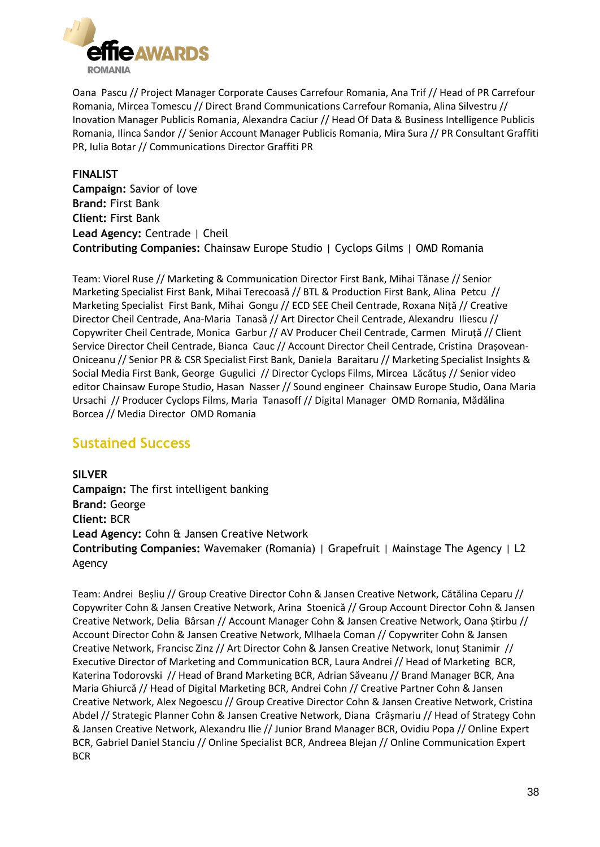

Oana Pascu // Project Manager Corporate Causes Carrefour Romania, Ana Trif // Head of PR Carrefour Romania, Mircea Tomescu // Direct Brand Communications Carrefour Romania, Alina Silvestru // Inovation Manager Publicis Romania, Alexandra Caciur // Head Of Data & Business Intelligence Publicis Romania, Ilinca Sandor // Senior Account Manager Publicis Romania, Mira Sura // PR Consultant Graffiti PR, Iulia Botar // Communications Director Graffiti PR

#### **FINALIST**

**Campaign:** Savior of love **Brand:** First Bank **Client:** First Bank **Lead Agency:** Centrade | Cheil **Contributing Companies:** Chainsaw Europe Studio | Cyclops Gilms | OMD Romania

Team: Viorel Ruse // Marketing & Communication Director First Bank, Mihai Tănase // Senior Marketing Specialist First Bank, Mihai Terecoasă // BTL & Production First Bank, Alina Petcu // Marketing Specialist First Bank, Mihai Gongu // ECD SEE Cheil Centrade, Roxana Niță // Creative Director Cheil Centrade, Ana-Maria Tanasă // Art Director Cheil Centrade, Alexandru Iliescu // Copywriter Cheil Centrade, Monica Garbur // AV Producer Cheil Centrade, Carmen Miruță // Client Service Director Cheil Centrade, Bianca Cauc // Account Director Cheil Centrade, Cristina Drașovean-Oniceanu // Senior PR & CSR Specialist First Bank, Daniela Baraitaru // Marketing Specialist Insights & Social Media First Bank, George Gugulici // Director Cyclops Films, Mircea Lăcătuș // Senior video editor Chainsaw Europe Studio, Hasan Nasser // Sound engineer Chainsaw Europe Studio, Oana Maria Ursachi // Producer Cyclops Films, Maria Tanasoff // Digital Manager OMD Romania, Mădălina Borcea // Media Director OMD Romania

### **Sustained Success**

**SILVER Campaign:** The first intelligent banking **Brand:** George **Client:** BCR **Lead Agency:** Cohn & Jansen Creative Network **Contributing Companies:** Wavemaker (Romania) | Grapefruit | Mainstage The Agency | L2 Agency

Team: Andrei Beșliu // Group Creative Director Cohn & Jansen Creative Network, Cătălina Ceparu // Copywriter Cohn & Jansen Creative Network, Arina Stoenică // Group Account Director Cohn & Jansen Creative Network, Delia Bârsan // Account Manager Cohn & Jansen Creative Network, Oana Știrbu // Account Director Cohn & Jansen Creative Network, MIhaela Coman // Copywriter Cohn & Jansen Creative Network, Francisc Zinz // Art Director Cohn & Jansen Creative Network, Ionuț Stanimir // Executive Director of Marketing and Communication BCR, Laura Andrei // Head of Marketing BCR, Katerina Todorovski // Head of Brand Marketing BCR, Adrian Săveanu // Brand Manager BCR, Ana Maria Ghiurcă // Head of Digital Marketing BCR, Andrei Cohn // Creative Partner Cohn & Jansen Creative Network, Alex Negoescu // Group Creative Director Cohn & Jansen Creative Network, Cristina Abdel // Strategic Planner Cohn & Jansen Creative Network, Diana Crâșmariu // Head of Strategy Cohn & Jansen Creative Network, Alexandru Ilie // Junior Brand Manager BCR, Ovidiu Popa // Online Expert BCR, Gabriel Daniel Stanciu // Online Specialist BCR, Andreea Blejan // Online Communication Expert BCR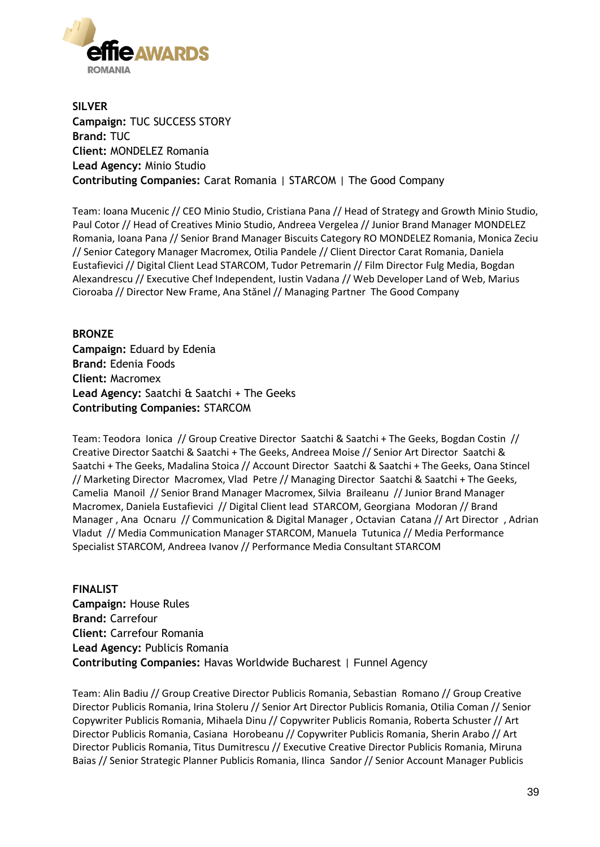

**SILVER Campaign:** TUC SUCCESS STORY **Brand:** TUC **Client:** MONDELEZ Romania **Lead Agency:** Minio Studio **Contributing Companies:** Carat Romania | STARCOM | The Good Company

Team: Ioana Mucenic // CEO Minio Studio, Cristiana Pana // Head of Strategy and Growth Minio Studio, Paul Cotor // Head of Creatives Minio Studio, Andreea Vergelea // Junior Brand Manager MONDELEZ Romania, Ioana Pana // Senior Brand Manager Biscuits Category RO MONDELEZ Romania, Monica Zeciu // Senior Category Manager Macromex, Otilia Pandele // Client Director Carat Romania, Daniela Eustafievici // Digital Client Lead STARCOM, Tudor Petremarin // Film Director Fulg Media, Bogdan Alexandrescu // Executive Chef Independent, Iustin Vadana // Web Developer Land of Web, Marius Cioroaba // Director New Frame, Ana Stănel // Managing Partner The Good Company

#### **BRONZE**

**Campaign:** Eduard by Edenia **Brand:** Edenia Foods **Client:** Macromex **Lead Agency:** Saatchi & Saatchi + The Geeks **Contributing Companies:** STARCOM

Team: Teodora Ionica // Group Creative Director Saatchi & Saatchi + The Geeks, Bogdan Costin // Creative Director Saatchi & Saatchi + The Geeks, Andreea Moise // Senior Art Director Saatchi & Saatchi + The Geeks, Madalina Stoica // Account Director Saatchi & Saatchi + The Geeks, Oana Stincel // Marketing Director Macromex, Vlad Petre // Managing Director Saatchi & Saatchi + The Geeks, Camelia Manoil // Senior Brand Manager Macromex, Silvia Braileanu // Junior Brand Manager Macromex, Daniela Eustafievici // Digital Client lead STARCOM, Georgiana Modoran // Brand Manager , Ana Ocnaru // Communication & Digital Manager , Octavian Catana // Art Director , Adrian Vladut // Media Communication Manager STARCOM, Manuela Tutunica // Media Performance Specialist STARCOM, Andreea Ivanov // Performance Media Consultant STARCOM

**FINALIST Campaign:** House Rules **Brand:** Carrefour **Client:** Carrefour Romania **Lead Agency:** Publicis Romania **Contributing Companies:** Havas Worldwide Bucharest | Funnel Agency

Team: Alin Badiu // Group Creative Director Publicis Romania, Sebastian Romano // Group Creative Director Publicis Romania, Irina Stoleru // Senior Art Director Publicis Romania, Otilia Coman // Senior Copywriter Publicis Romania, Mihaela Dinu // Copywriter Publicis Romania, Roberta Schuster // Art Director Publicis Romania, Casiana Horobeanu // Copywriter Publicis Romania, Sherin Arabo // Art Director Publicis Romania, Titus Dumitrescu // Executive Creative Director Publicis Romania, Miruna Baias // Senior Strategic Planner Publicis Romania, Ilinca Sandor // Senior Account Manager Publicis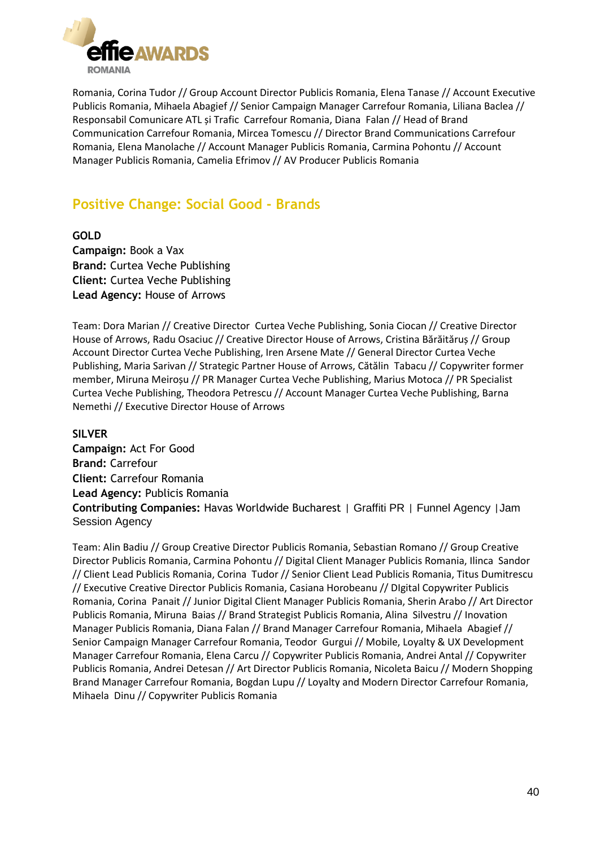

Romania, Corina Tudor // Group Account Director Publicis Romania, Elena Tanase // Account Executive Publicis Romania, Mihaela Abagief // Senior Campaign Manager Carrefour Romania, Liliana Baclea // Responsabil Comunicare ATL și Trafic Carrefour Romania, Diana Falan // Head of Brand Communication Carrefour Romania, Mircea Tomescu // Director Brand Communications Carrefour Romania, Elena Manolache // Account Manager Publicis Romania, Carmina Pohontu // Account Manager Publicis Romania, Camelia Efrimov // AV Producer Publicis Romania

# **Positive Change: Social Good - Brands**

**GOLD Campaign:** Book a Vax **Brand:** Curtea Veche Publishing **Client:** Curtea Veche Publishing **Lead Agency:** House of Arrows

Team: Dora Marian // Creative Director Curtea Veche Publishing, Sonia Ciocan // Creative Director House of Arrows, Radu Osaciuc // Creative Director House of Arrows, Cristina Bărăităruș // Group Account Director Curtea Veche Publishing, Iren Arsene Mate // General Director Curtea Veche Publishing, Maria Sarivan // Strategic Partner House of Arrows, Cătălin Tabacu // Copywriter former member, Miruna Meiroșu // PR Manager Curtea Veche Publishing, Marius Motoca // PR Specialist Curtea Veche Publishing, Theodora Petrescu // Account Manager Curtea Veche Publishing, Barna Nemethi // Executive Director House of Arrows

**SILVER**

**Campaign:** Act For Good **Brand:** Carrefour **Client:** Carrefour Romania **Lead Agency:** Publicis Romania **Contributing Companies:** Havas Worldwide Bucharest | Graffiti PR | Funnel Agency |Jam Session Agency

Team: Alin Badiu // Group Creative Director Publicis Romania, Sebastian Romano // Group Creative Director Publicis Romania, Carmina Pohontu // Digital Client Manager Publicis Romania, Ilinca Sandor // Client Lead Publicis Romania, Corina Tudor // Senior Client Lead Publicis Romania, Titus Dumitrescu // Executive Creative Director Publicis Romania, Casiana Horobeanu // DIgital Copywriter Publicis Romania, Corina Panait // Junior Digital Client Manager Publicis Romania, Sherin Arabo // Art Director Publicis Romania, Miruna Baias // Brand Strategist Publicis Romania, Alina Silvestru // Inovation Manager Publicis Romania, Diana Falan // Brand Manager Carrefour Romania, Mihaela Abagief // Senior Campaign Manager Carrefour Romania, Teodor Gurgui // Mobile, Loyalty & UX Development Manager Carrefour Romania, Elena Carcu // Copywriter Publicis Romania, Andrei Antal // Copywriter Publicis Romania, Andrei Detesan // Art Director Publicis Romania, Nicoleta Baicu // Modern Shopping Brand Manager Carrefour Romania, Bogdan Lupu // Loyalty and Modern Director Carrefour Romania, Mihaela Dinu // Copywriter Publicis Romania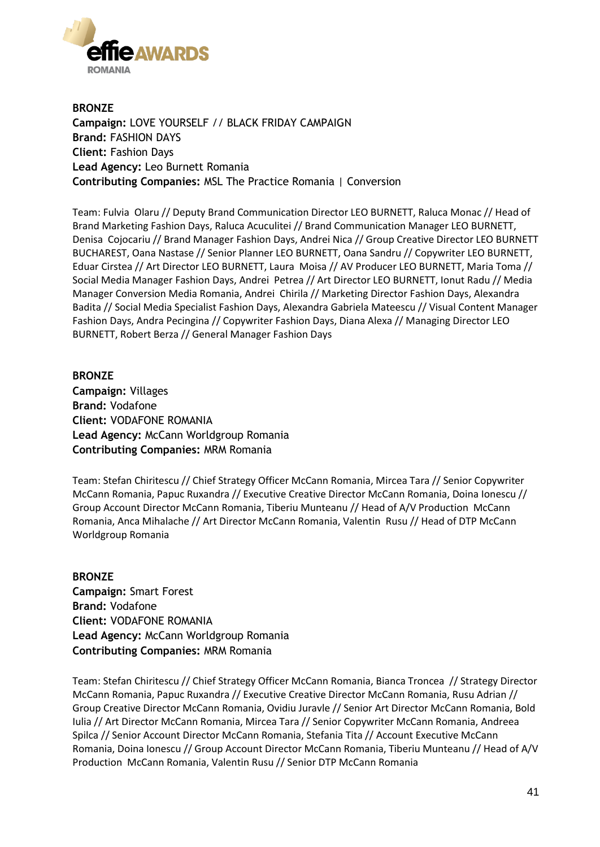

**BRONZE Campaign:** LOVE YOURSELF // BLACK FRIDAY CAMPAIGN **Brand:** FASHION DAYS **Client:** Fashion Days **Lead Agency:** Leo Burnett Romania **Contributing Companies:** MSL The Practice Romania | Conversion

Team: Fulvia Olaru // Deputy Brand Communication Director LEO BURNETT, Raluca Monac // Head of Brand Marketing Fashion Days, Raluca Acuculitei // Brand Communication Manager LEO BURNETT, Denisa Cojocariu // Brand Manager Fashion Days, Andrei Nica // Group Creative Director LEO BURNETT BUCHAREST, Oana Nastase // Senior Planner LEO BURNETT, Oana Sandru // Copywriter LEO BURNETT, Eduar Cirstea // Art Director LEO BURNETT, Laura Moisa // AV Producer LEO BURNETT, Maria Toma // Social Media Manager Fashion Days, Andrei Petrea // Art Director LEO BURNETT, Ionut Radu // Media Manager Conversion Media Romania, Andrei Chirila // Marketing Director Fashion Days, Alexandra Badita // Social Media Specialist Fashion Days, Alexandra Gabriela Mateescu // Visual Content Manager Fashion Days, Andra Pecingina // Copywriter Fashion Days, Diana Alexa // Managing Director LEO BURNETT, Robert Berza // General Manager Fashion Days

**BRONZE Campaign:** Villages **Brand:** Vodafone **Client:** VODAFONE ROMANIA **Lead Agency:** McCann Worldgroup Romania **Contributing Companies:** MRM Romania

Team: Stefan Chiritescu // Chief Strategy Officer McCann Romania, Mircea Tara // Senior Copywriter McCann Romania, Papuc Ruxandra // Executive Creative Director McCann Romania, Doina Ionescu // Group Account Director McCann Romania, Tiberiu Munteanu // Head of A/V Production McCann Romania, Anca Mihalache // Art Director McCann Romania, Valentin Rusu // Head of DTP McCann Worldgroup Romania

**BRONZE Campaign:** Smart Forest **Brand:** Vodafone **Client:** VODAFONE ROMANIA **Lead Agency:** McCann Worldgroup Romania **Contributing Companies:** MRM Romania

Team: Stefan Chiritescu // Chief Strategy Officer McCann Romania, Bianca Troncea // Strategy Director McCann Romania, Papuc Ruxandra // Executive Creative Director McCann Romania, Rusu Adrian // Group Creative Director McCann Romania, Ovidiu Juravle // Senior Art Director McCann Romania, Bold Iulia // Art Director McCann Romania, Mircea Tara // Senior Copywriter McCann Romania, Andreea Spilca // Senior Account Director McCann Romania, Stefania Tita // Account Executive McCann Romania, Doina Ionescu // Group Account Director McCann Romania, Tiberiu Munteanu // Head of A/V Production McCann Romania, Valentin Rusu // Senior DTP McCann Romania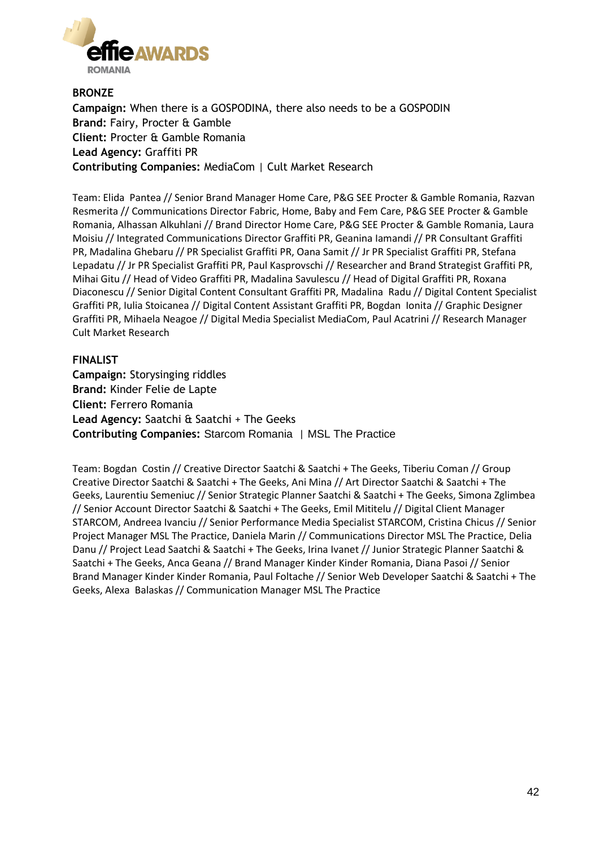

**BRONZE Campaign:** When there is a GOSPODINA, there also needs to be a GOSPODIN **Brand:** Fairy, Procter & Gamble **Client:** Procter & Gamble Romania **Lead Agency:** Graffiti PR **Contributing Companies:** MediaCom | Cult Market Research

Team: Elida Pantea // Senior Brand Manager Home Care, P&G SEE Procter & Gamble Romania, Razvan Resmerita // Communications Director Fabric, Home, Baby and Fem Care, P&G SEE Procter & Gamble Romania, Alhassan Alkuhlani // Brand Director Home Care, P&G SEE Procter & Gamble Romania, Laura Moisiu // Integrated Communications Director Graffiti PR, Geanina Iamandi // PR Consultant Graffiti PR, Madalina Ghebaru // PR Specialist Graffiti PR, Oana Samit // Jr PR Specialist Graffiti PR, Stefana Lepadatu // Jr PR Specialist Graffiti PR, Paul Kasprovschi // Researcher and Brand Strategist Graffiti PR, Mihai Gitu // Head of Video Graffiti PR, Madalina Savulescu // Head of Digital Graffiti PR, Roxana Diaconescu // Senior Digital Content Consultant Graffiti PR, Madalina Radu // Digital Content Specialist Graffiti PR, Iulia Stoicanea // Digital Content Assistant Graffiti PR, Bogdan Ionita // Graphic Designer Graffiti PR, Mihaela Neagoe // Digital Media Specialist MediaCom, Paul Acatrini // Research Manager Cult Market Research

#### **FINALIST**

**Campaign:** Storysinging riddles **Brand:** Kinder Felie de Lapte **Client:** Ferrero Romania **Lead Agency:** Saatchi & Saatchi + The Geeks **Contributing Companies:** Starcom Romania | MSL The Practice

Team: Bogdan Costin // Creative Director Saatchi & Saatchi + The Geeks, Tiberiu Coman // Group Creative Director Saatchi & Saatchi + The Geeks, Ani Mina // Art Director Saatchi & Saatchi + The Geeks, Laurentiu Semeniuc // Senior Strategic Planner Saatchi & Saatchi + The Geeks, Simona Zglimbea // Senior Account Director Saatchi & Saatchi + The Geeks, Emil Mititelu // Digital Client Manager STARCOM, Andreea Ivanciu // Senior Performance Media Specialist STARCOM, Cristina Chicus // Senior Project Manager MSL The Practice, Daniela Marin // Communications Director MSL The Practice, Delia Danu // Project Lead Saatchi & Saatchi + The Geeks, Irina Ivanet // Junior Strategic Planner Saatchi & Saatchi + The Geeks, Anca Geana // Brand Manager Kinder Kinder Romania, Diana Pasoi // Senior Brand Manager Kinder Kinder Romania, Paul Foltache // Senior Web Developer Saatchi & Saatchi + The Geeks, Alexa Balaskas // Communication Manager MSL The Practice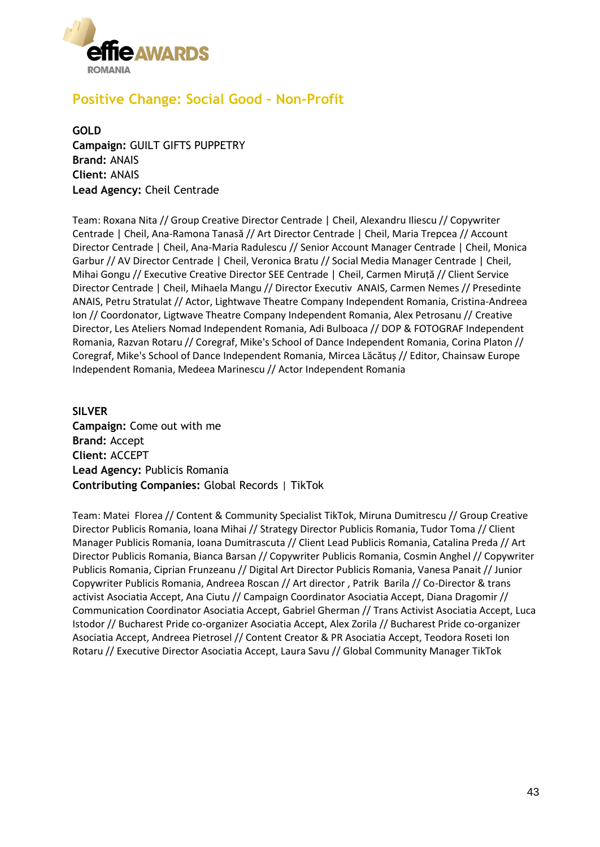

# **Positive Change: Social Good – Non-Profit**

**GOLD Campaign:** GUILT GIFTS PUPPETRY **Brand:** ANAIS **Client:** ANAIS **Lead Agency:** Cheil Centrade

Team: Roxana Nita // Group Creative Director Centrade | Cheil, Alexandru Iliescu // Copywriter Centrade | Cheil, Ana-Ramona Tanasă // Art Director Centrade | Cheil, Maria Trepcea // Account Director Centrade | Cheil, Ana-Maria Radulescu // Senior Account Manager Centrade | Cheil, Monica Garbur // AV Director Centrade | Cheil, Veronica Bratu // Social Media Manager Centrade | Cheil, Mihai Gongu // Executive Creative Director SEE Centrade | Cheil, Carmen Miruță // Client Service Director Centrade | Cheil, Mihaela Mangu // Director Executiv ANAIS, Carmen Nemes // Presedinte ANAIS, Petru Stratulat // Actor, Lightwave Theatre Company Independent Romania, Cristina-Andreea Ion // Coordonator, Ligtwave Theatre Company Independent Romania, Alex Petrosanu // Creative Director, Les Ateliers Nomad Independent Romania, Adi Bulboaca // DOP & FOTOGRAF Independent Romania, Razvan Rotaru // Coregraf, Mike's School of Dance Independent Romania, Corina Platon // Coregraf, Mike's School of Dance Independent Romania, Mircea Lăcătuș // Editor, Chainsaw Europe Independent Romania, Medeea Marinescu // Actor Independent Romania

**SILVER Campaign:** Come out with me **Brand:** Accept **Client:** ACCEPT **Lead Agency:** Publicis Romania **Contributing Companies:** Global Records | TikTok

Team: Matei Florea // Content & Community Specialist TikTok, Miruna Dumitrescu // Group Creative Director Publicis Romania, Ioana Mihai // Strategy Director Publicis Romania, Tudor Toma // Client Manager Publicis Romania, Ioana Dumitrascuta // Client Lead Publicis Romania, Catalina Preda // Art Director Publicis Romania, Bianca Barsan // Copywriter Publicis Romania, Cosmin Anghel // Copywriter Publicis Romania, Ciprian Frunzeanu // Digital Art Director Publicis Romania, Vanesa Panait // Junior Copywriter Publicis Romania, Andreea Roscan // Art director , Patrik Barila // Co-Director & trans activist Asociatia Accept, Ana Ciutu // Campaign Coordinator Asociatia Accept, Diana Dragomir // Communication Coordinator Asociatia Accept, Gabriel Gherman // Trans Activist Asociatia Accept, Luca Istodor // Bucharest Pride co-organizer Asociatia Accept, Alex Zorila // Bucharest Pride co-organizer Asociatia Accept, Andreea Pietrosel // Content Creator & PR Asociatia Accept, Teodora Roseti Ion Rotaru // Executive Director Asociatia Accept, Laura Savu // Global Community Manager TikTok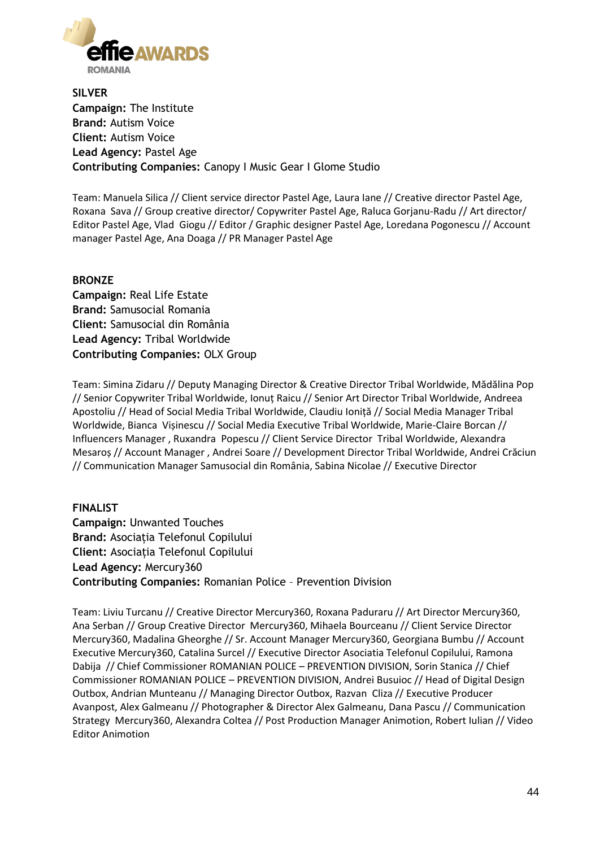

**SILVER Campaign:** The Institute **Brand:** Autism Voice **Client:** Autism Voice **Lead Agency:** Pastel Age **Contributing Companies:** Canopy I Music Gear I Glome Studio

Team: Manuela Silica // Client service director Pastel Age, Laura Iane // Creative director Pastel Age, Roxana Sava // Group creative director/ Copywriter Pastel Age, Raluca Gorjanu-Radu // Art director/ Editor Pastel Age, Vlad Giogu // Editor / Graphic designer Pastel Age, Loredana Pogonescu // Account manager Pastel Age, Ana Doaga // PR Manager Pastel Age

#### **BRONZE**

**Campaign:** Real Life Estate **Brand:** Samusocial Romania **Client:** Samusocial din România **Lead Agency:** Tribal Worldwide **Contributing Companies:** OLX Group

Team: Simina Zidaru // Deputy Managing Director & Creative Director Tribal Worldwide, Mădălina Pop // Senior Copywriter Tribal Worldwide, Ionuț Raicu // Senior Art Director Tribal Worldwide, Andreea Apostoliu // Head of Social Media Tribal Worldwide, Claudiu Ioniță // Social Media Manager Tribal Worldwide, Bianca Vișinescu // Social Media Executive Tribal Worldwide, Marie-Claire Borcan // Influencers Manager , Ruxandra Popescu // Client Service Director Tribal Worldwide, Alexandra Mesaroș // Account Manager , Andrei Soare // Development Director Tribal Worldwide, Andrei Crăciun // Communication Manager Samusocial din România, Sabina Nicolae // Executive Director

#### **FINALIST Campaign:** Unwanted Touches **Brand:** Asociația Telefonul Copilului **Client:** Asociația Telefonul Copilului **Lead Agency:** Mercury360 **Contributing Companies:** Romanian Police – Prevention Division

Team: Liviu Turcanu // Creative Director Mercury360, Roxana Paduraru // Art Director Mercury360, Ana Serban // Group Creative Director Mercury360, Mihaela Bourceanu // Client Service Director Mercury360, Madalina Gheorghe // Sr. Account Manager Mercury360, Georgiana Bumbu // Account Executive Mercury360, Catalina Surcel // Executive Director Asociatia Telefonul Copilului, Ramona Dabija // Chief Commissioner ROMANIAN POLICE – PREVENTION DIVISION, Sorin Stanica // Chief Commissioner ROMANIAN POLICE – PREVENTION DIVISION, Andrei Busuioc // Head of Digital Design Outbox, Andrian Munteanu // Managing Director Outbox, Razvan Cliza // Executive Producer Avanpost, Alex Galmeanu // Photographer & Director Alex Galmeanu, Dana Pascu // Communication Strategy Mercury360, Alexandra Coltea // Post Production Manager Animotion, Robert Iulian // Video Editor Animotion